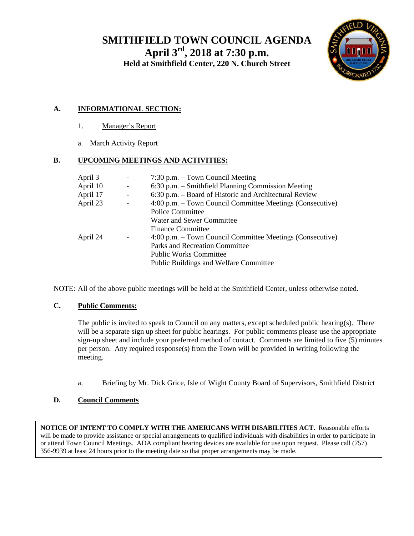**SMITHFIELD TOWN COUNCIL AGENDA April 3rd, 2018 at 7:30 p.m. Held at Smithfield Center, 220 N. Church Street** 



#### **A. INFORMATIONAL SECTION:**

- 1. Manager's Report
- a. March Activity Report

#### **B. UPCOMING MEETINGS AND ACTIVITIES:**

| April 3  | $\overline{\phantom{a}}$ | $7:30$ p.m. $-$ Town Council Meeting                      |
|----------|--------------------------|-----------------------------------------------------------|
| April 10 | $\overline{\phantom{a}}$ | 6:30 p.m. – Smithfield Planning Commission Meeting        |
| April 17 | $\overline{\phantom{a}}$ | 6:30 p.m. - Board of Historic and Architectural Review    |
| April 23 |                          | 4:00 p.m. – Town Council Committee Meetings (Consecutive) |
|          |                          | <b>Police Committee</b>                                   |
|          |                          | Water and Sewer Committee                                 |
|          |                          | <b>Finance Committee</b>                                  |
| April 24 |                          | 4:00 p.m. – Town Council Committee Meetings (Consecutive) |
|          |                          | Parks and Recreation Committee                            |
|          |                          | <b>Public Works Committee</b>                             |
|          |                          | Public Buildings and Welfare Committee                    |

NOTE: All of the above public meetings will be held at the Smithfield Center, unless otherwise noted.

#### **C. Public Comments:**

The public is invited to speak to Council on any matters, except scheduled public hearing(s). There will be a separate sign up sheet for public hearings. For public comments please use the appropriate sign-up sheet and include your preferred method of contact. Comments are limited to five (5) minutes per person. Any required response(s) from the Town will be provided in writing following the meeting.

a. Briefing by Mr. Dick Grice, Isle of Wight County Board of Supervisors, Smithfield District

#### **D. Council Comments**

**NOTICE OF INTENT TO COMPLY WITH THE AMERICANS WITH DISABILITIES ACT.** Reasonable efforts will be made to provide assistance or special arrangements to qualified individuals with disabilities in order to participate in or attend Town Council Meetings. ADA compliant hearing devices are available for use upon request. Please call (757) 356-9939 at least 24 hours prior to the meeting date so that proper arrangements may be made.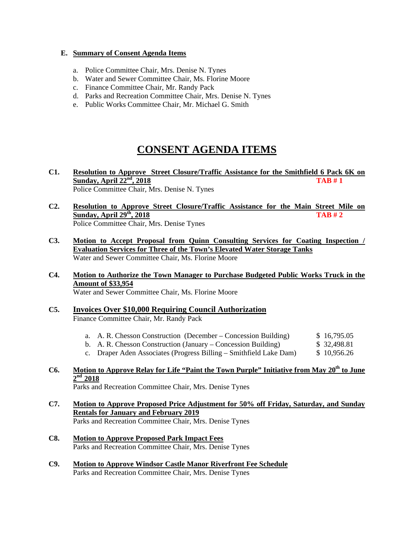#### **E. Summary of Consent Agenda Items**

- a. Police Committee Chair, Mrs. Denise N. Tynes
- b. Water and Sewer Committee Chair, Ms. Florine Moore
- c. Finance Committee Chair, Mr. Randy Pack
- d. Parks and Recreation Committee Chair, Mrs. Denise N. Tynes
- e. Public Works Committee Chair, Mr. Michael G. Smith

## **CONSENT AGENDA ITEMS**

- **C1. Resolution to Approve Street Closure/Traffic Assistance for the Smithfield 6 Pack 6K on Sunday, April 22nd, 2018 TAB # 1**  Police Committee Chair, Mrs. Denise N. Tynes
- **C2. Resolution to Approve Street Closure/Traffic Assistance for the Main Street Mile on Sunday, April 29th, 2018 TAB # 2**  Police Committee Chair, Mrs. Denise Tynes
- **C3. Motion to Accept Proposal from Quinn Consulting Services for Coating Inspection / Evaluation Services for Three of the Town's Elevated Water Storage Tanks**  Water and Sewer Committee Chair, Ms. Florine Moore
- **C4. Motion to Authorize the Town Manager to Purchase Budgeted Public Works Truck in the Amount of \$33,954**

Water and Sewer Committee Chair, Ms. Florine Moore

#### **C5. Invoices Over \$10,000 Requiring Council Authorization**  Finance Committee Chair, Mr. Randy Pack

- a. A. R. Chesson Construction (December Concession Building) \$ 16,795.05
- b. A. R. Chesson Construction (January Concession Building) \$ 32,498.81
- c. Draper Aden Associates (Progress Billing Smithfield Lake Dam) \$ 10,956.26

#### C6. Motion to Approve Relay for Life "Paint the Town Purple" Initiative from May 20<sup>th</sup> to June  **2nd 2018**

Parks and Recreation Committee Chair, Mrs. Denise Tynes

- **C7. Motion to Approve Proposed Price Adjustment for 50% off Friday, Saturday, and Sunday Rentals for January and February 2019**  Parks and Recreation Committee Chair, Mrs. Denise Tynes
- **C8. Motion to Approve Proposed Park Impact Fees** Parks and Recreation Committee Chair, Mrs. Denise Tynes
- **C9. Motion to Approve Windsor Castle Manor Riverfront Fee Schedule** Parks and Recreation Committee Chair, Mrs. Denise Tynes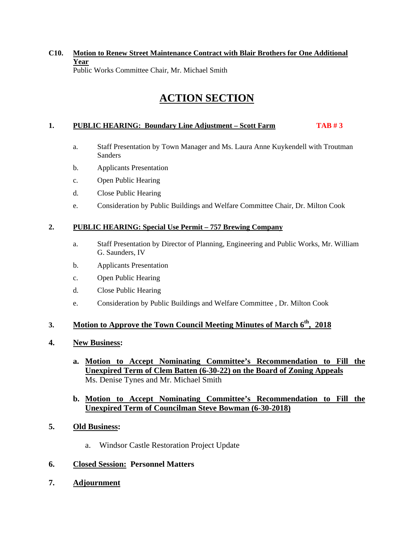#### **C10. Motion to Renew Street Maintenance Contract with Blair Brothers for One Additional Year**  Public Works Committee Chair, Mr. Michael Smith

## **ACTION SECTION**

#### **1. PUBLIC HEARING: Boundary Line Adjustment – Scott Farm TAB # 3**

- a. Staff Presentation by Town Manager and Ms. Laura Anne Kuykendell with Troutman Sanders
- b. Applicants Presentation
- c. Open Public Hearing
- d. Close Public Hearing
- e. Consideration by Public Buildings and Welfare Committee Chair, Dr. Milton Cook

#### **2. PUBLIC HEARING: Special Use Permit – 757 Brewing Company**

- a. Staff Presentation by Director of Planning, Engineering and Public Works, Mr. William G. Saunders, IV
- b. Applicants Presentation
- c. Open Public Hearing
- d. Close Public Hearing
- e. Consideration by Public Buildings and Welfare Committee , Dr. Milton Cook

#### 3. **Motion to Approve the Town Council Meeting Minutes of March 6<sup>th</sup>, 2018**

#### **4. New Business:**

**a. Motion to Accept Nominating Committee's Recommendation to Fill the Unexpired Term of Clem Batten (6-30-22) on the Board of Zoning Appeals**  Ms. Denise Tynes and Mr. Michael Smith

#### **b. Motion to Accept Nominating Committee's Recommendation to Fill the Unexpired Term of Councilman Steve Bowman (6-30-2018)**

- **5. Old Business:** 
	- a. Windsor Castle Restoration Project Update

#### **6. Closed Session: Personnel Matters**

**7. Adjournment**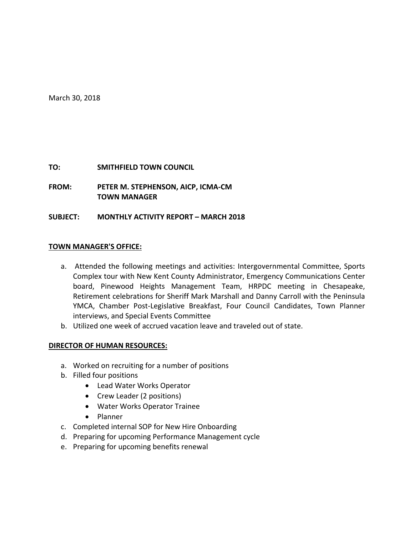March 30, 2018

#### **TO: SMITHFIELD TOWN COUNCIL**

**FROM: PETER M. STEPHENSON, AICP, ICMA‐CM TOWN MANAGER**

#### **SUBJECT: MONTHLY ACTIVITY REPORT – MARCH 2018**

#### **TOWN MANAGER'S OFFICE:**

- a. Attended the following meetings and activities: Intergovernmental Committee, Sports Complex tour with New Kent County Administrator, Emergency Communications Center board, Pinewood Heights Management Team, HRPDC meeting in Chesapeake, Retirement celebrations for Sheriff Mark Marshall and Danny Carroll with the Peninsula YMCA, Chamber Post‐Legislative Breakfast, Four Council Candidates, Town Planner interviews, and Special Events Committee
- b. Utilized one week of accrued vacation leave and traveled out of state.

#### **DIRECTOR OF HUMAN RESOURCES:**

- a. Worked on recruiting for a number of positions
- b. Filled four positions
	- Lead Water Works Operator
	- Crew Leader (2 positions)
	- Water Works Operator Trainee
	- Planner
- c. Completed internal SOP for New Hire Onboarding
- d. Preparing for upcoming Performance Management cycle
- e. Preparing for upcoming benefits renewal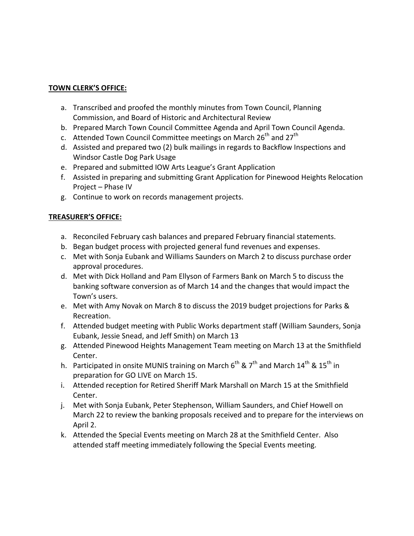#### **TOWN CLERK'S OFFICE:**

- a. Transcribed and proofed the monthly minutes from Town Council, Planning Commission, and Board of Historic and Architectural Review
- b. Prepared March Town Council Committee Agenda and April Town Council Agenda.
- c. Attended Town Council Committee meetings on March 26<sup>th</sup> and 27<sup>th</sup>
- d. Assisted and prepared two (2) bulk mailings in regards to Backflow Inspections and Windsor Castle Dog Park Usage
- e. Prepared and submitted IOW Arts League's Grant Application
- f. Assisted in preparing and submitting Grant Application for Pinewood Heights Relocation Project – Phase IV
- g. Continue to work on records management projects.

#### **TREASURER'S OFFICE:**

- a. Reconciled February cash balances and prepared February financial statements.
- b. Began budget process with projected general fund revenues and expenses.
- c. Met with Sonja Eubank and Williams Saunders on March 2 to discuss purchase order approval procedures.
- d. Met with Dick Holland and Pam Ellyson of Farmers Bank on March 5 to discuss the banking software conversion as of March 14 and the changes that would impact the Town's users.
- e. Met with Amy Novak on March 8 to discuss the 2019 budget projections for Parks & Recreation.
- f. Attended budget meeting with Public Works department staff (William Saunders, Sonja Eubank, Jessie Snead, and Jeff Smith) on March 13
- g. Attended Pinewood Heights Management Team meeting on March 13 at the Smithfield Center.
- h. Participated in onsite MUNIS training on March  $6^{th}$  &  $7^{th}$  and March  $14^{th}$  &  $15^{th}$  in preparation for GO LIVE on March 15.
- i. Attended reception for Retired Sheriff Mark Marshall on March 15 at the Smithfield Center.
- j. Met with Sonja Eubank, Peter Stephenson, William Saunders, and Chief Howell on March 22 to review the banking proposals received and to prepare for the interviews on April 2.
- k. Attended the Special Events meeting on March 28 at the Smithfield Center. Also attended staff meeting immediately following the Special Events meeting.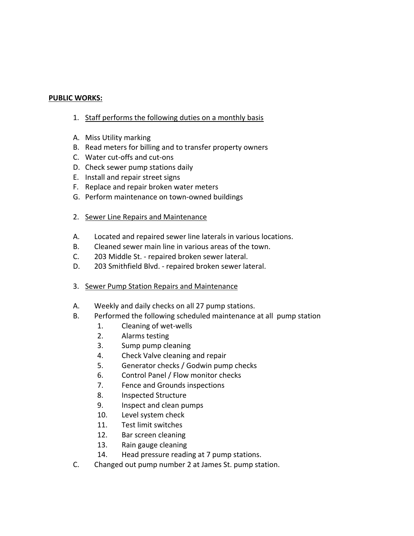#### **PUBLIC WORKS:**

- 1. Staff performs the following duties on a monthly basis
- A. Miss Utility marking
- B. Read meters for billing and to transfer property owners
- C. Water cut‐offs and cut‐ons
- D. Check sewer pump stations daily
- E. Install and repair street signs
- F. Replace and repair broken water meters
- G. Perform maintenance on town‐owned buildings
- 2. Sewer Line Repairs and Maintenance
- A. Located and repaired sewer line laterals in various locations.
- B. Cleaned sewer main line in various areas of the town.
- C. 203 Middle St. ‐ repaired broken sewer lateral.
- D. 203 Smithfield Blvd. ‐ repaired broken sewer lateral.
- 3. Sewer Pump Station Repairs and Maintenance
- A. Weekly and daily checks on all 27 pump stations.
- B. Performed the following scheduled maintenance at all pump station
	- 1. Cleaning of wet‐wells
	- 2. Alarms testing
	- 3. Sump pump cleaning
	- 4. Check Valve cleaning and repair
	- 5. Generator checks / Godwin pump checks
	- 6. Control Panel / Flow monitor checks
	- 7. Fence and Grounds inspections
	- 8. Inspected Structure
	- 9. Inspect and clean pumps
	- 10. Level system check
	- 11. Test limit switches
	- 12. Bar screen cleaning
	- 13. Rain gauge cleaning
	- 14. Head pressure reading at 7 pump stations.
- C. Changed out pump number 2 at James St. pump station.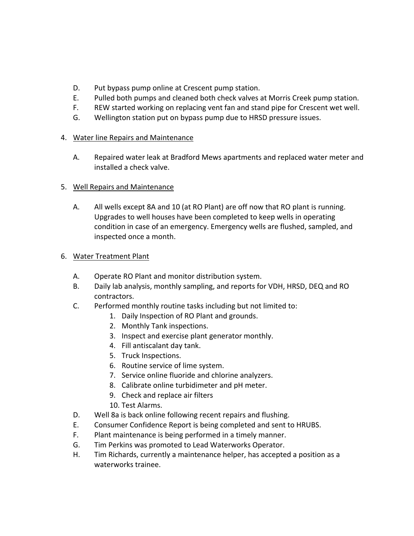- D. Put bypass pump online at Crescent pump station.
- E. Pulled both pumps and cleaned both check valves at Morris Creek pump station.
- F. REW started working on replacing vent fan and stand pipe for Crescent wet well.
- G. Wellington station put on bypass pump due to HRSD pressure issues.

#### 4. Water line Repairs and Maintenance

A. Repaired water leak at Bradford Mews apartments and replaced water meter and installed a check valve.

#### 5. Well Repairs and Maintenance

A. All wells except 8A and 10 (at RO Plant) are off now that RO plant is running. Upgrades to well houses have been completed to keep wells in operating condition in case of an emergency. Emergency wells are flushed, sampled, and inspected once a month.

#### 6. Water Treatment Plant

- A. Operate RO Plant and monitor distribution system.
- B. Daily lab analysis, monthly sampling, and reports for VDH, HRSD, DEQ and RO contractors.
- C. Performed monthly routine tasks including but not limited to:
	- 1. Daily Inspection of RO Plant and grounds.
	- 2. Monthly Tank inspections.
	- 3. Inspect and exercise plant generator monthly.
	- 4. Fill antiscalant day tank.
	- 5. Truck Inspections.
	- 6. Routine service of lime system.
	- 7. Service online fluoride and chlorine analyzers.
	- 8. Calibrate online turbidimeter and pH meter.
	- 9. Check and replace air filters
	- 10. Test Alarms.
- D. Well 8a is back online following recent repairs and flushing.
- E. Consumer Confidence Report is being completed and sent to HRUBS.
- F. Plant maintenance is being performed in a timely manner.
- G. Tim Perkins was promoted to Lead Waterworks Operator.
- H. Tim Richards, currently a maintenance helper, has accepted a position as a waterworks trainee.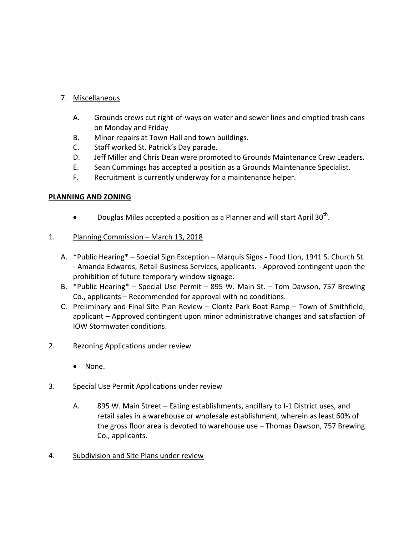#### 7. Miscellaneous

- A. Grounds crews cut right‐of‐ways on water and sewer lines and emptied trash cans on Monday and Friday
- B. Minor repairs at Town Hall and town buildings.
- C. Staff worked St. Patrick's Day parade.
- D. Jeff Miller and Chris Dean were promoted to Grounds Maintenance Crew Leaders.
- E. Sean Cummings has accepted a position as a Grounds Maintenance Specialist.
- F. Recruitment is currently underway for a maintenance helper.

#### **PLANNING AND ZONING**

• Douglas Miles accepted a position as a Planner and will start April 30<sup>th</sup>.

#### 1. Planning Commission - March 13, 2018

- A. \*Public Hearing\* Special Sign Exception Marquis Signs ‐ Food Lion, 1941 S. Church St. ‐ Amanda Edwards, Retail Business Services, applicants. ‐ Approved contingent upon the prohibition of future temporary window signage.
- B. \*Public Hearing\* Special Use Permit 895 W. Main St. Tom Dawson, 757 Brewing Co., applicants – Recommended for approval with no conditions.
- C. Preliminary and Final Site Plan Review Clontz Park Boat Ramp Town of Smithfield, applicant – Approved contingent upon minor administrative changes and satisfaction of IOW Stormwater conditions.

#### 2. Rezoning Applications under review

• None.

#### 3. Special Use Permit Applications under review

- A. 895 W. Main Street Eating establishments, ancillary to I‐1 District uses, and retail sales in a warehouse or wholesale establishment, wherein as least 60% of the gross floor area is devoted to warehouse use – Thomas Dawson, 757 Brewing Co., applicants.
- 4. Subdivision and Site Plans under review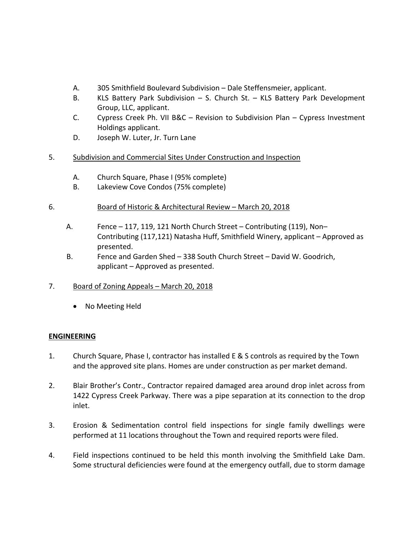- A. 305 Smithfield Boulevard Subdivision Dale Steffensmeier, applicant.
- B. KLS Battery Park Subdivision S. Church St. KLS Battery Park Development Group, LLC, applicant.
- C. Cypress Creek Ph. VII B&C Revision to Subdivision Plan Cypress Investment Holdings applicant.
- D. Joseph W. Luter, Jr. Turn Lane
- 5. Subdivision and Commercial Sites Under Construction and Inspection
	- A. Church Square, Phase I (95% complete)
	- B. Lakeview Cove Condos (75% complete)

#### 6. Board of Historic & Architectural Review – March 20, 2018

- A. Fence 117, 119, 121 North Church Street Contributing (119), Non– Contributing (117,121) Natasha Huff, Smithfield Winery, applicant – Approved as presented.
- B. Fence and Garden Shed 338 South Church Street David W. Goodrich, applicant – Approved as presented.
- 7. Board of Zoning Appeals March 20, 2018
	- No Meeting Held

#### **ENGINEERING**

- 1. Church Square, Phase I, contractor has installed E & S controls as required by the Town and the approved site plans. Homes are under construction as per market demand.
- 2. Blair Brother's Contr., Contractor repaired damaged area around drop inlet across from 1422 Cypress Creek Parkway. There was a pipe separation at its connection to the drop inlet.
- 3. Erosion & Sedimentation control field inspections for single family dwellings were performed at 11 locations throughout the Town and required reports were filed.
- 4. Field inspections continued to be held this month involving the Smithfield Lake Dam. Some structural deficiencies were found at the emergency outfall, due to storm damage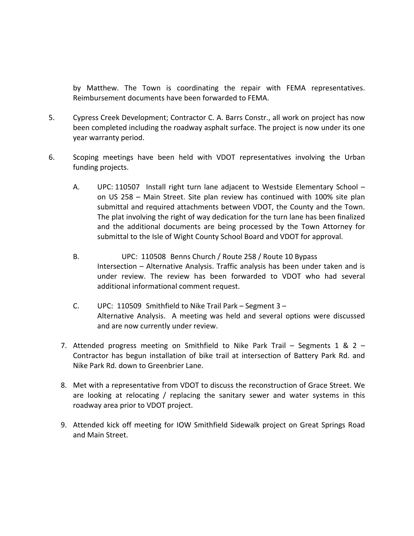by Matthew. The Town is coordinating the repair with FEMA representatives. Reimbursement documents have been forwarded to FEMA.

- 5. Cypress Creek Development; Contractor C. A. Barrs Constr., all work on project has now been completed including the roadway asphalt surface. The project is now under its one year warranty period.
- 6. Scoping meetings have been held with VDOT representatives involving the Urban funding projects.
	- A. UPC: 110507 Install right turn lane adjacent to Westside Elementary School on US 258 – Main Street. Site plan review has continued with 100% site plan submittal and required attachments between VDOT, the County and the Town. The plat involving the right of way dedication for the turn lane has been finalized and the additional documents are being processed by the Town Attorney for submittal to the Isle of Wight County School Board and VDOT for approval.
	- B. UPC: 110508 Benns Church / Route 258 / Route 10 Bypass Intersection – Alternative Analysis. Traffic analysis has been under taken and is under review. The review has been forwarded to VDOT who had several additional informational comment request.
	- C. UPC: 110509 Smithfield to Nike Trail Park Segment 3 Alternative Analysis. A meeting was held and several options were discussed and are now currently under review.
	- 7. Attended progress meeting on Smithfield to Nike Park Trail Segments 1 & 2 Contractor has begun installation of bike trail at intersection of Battery Park Rd. and Nike Park Rd. down to Greenbrier Lane.
	- 8. Met with a representative from VDOT to discuss the reconstruction of Grace Street. We are looking at relocating / replacing the sanitary sewer and water systems in this roadway area prior to VDOT project.
	- 9. Attended kick off meeting for IOW Smithfield Sidewalk project on Great Springs Road and Main Street.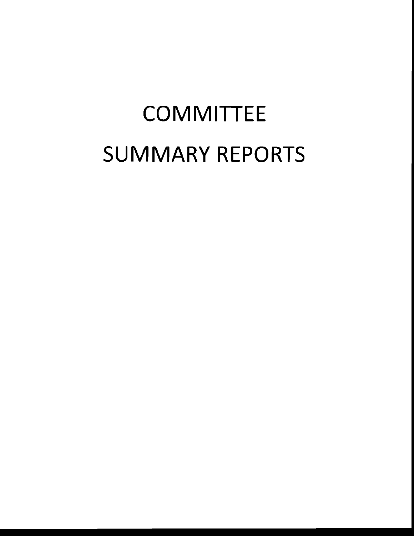# **COMMITTEE SUMMARY REPORTS**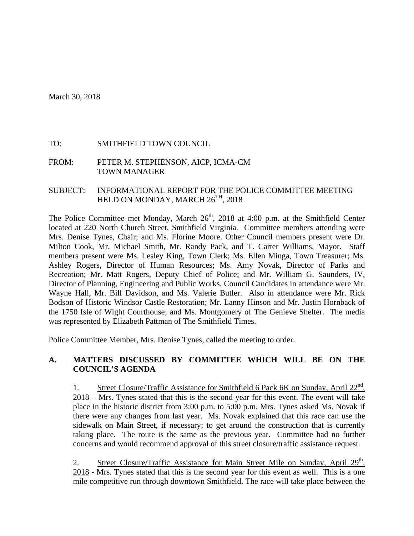March 30, 2018

#### TO: SMITHFIELD TOWN COUNCIL

FROM: PETER M. STEPHENSON, AICP, ICMA-CM TOWN MANAGER

SUBJECT: INFORMATIONAL REPORT FOR THE POLICE COMMITTEE MEETING HELD ON MONDAY, MARCH  $26^{TH}$ , 2018

The Police Committee met Monday, March  $26<sup>th</sup>$ , 2018 at 4:00 p.m. at the Smithfield Center located at 220 North Church Street, Smithfield Virginia. Committee members attending were Mrs. Denise Tynes, Chair; and Ms. Florine Moore. Other Council members present were Dr. Milton Cook, Mr. Michael Smith, Mr. Randy Pack, and T. Carter Williams, Mayor. Staff members present were Ms. Lesley King, Town Clerk; Ms. Ellen Minga, Town Treasurer; Ms. Ashley Rogers, Director of Human Resources; Ms. Amy Novak, Director of Parks and Recreation; Mr. Matt Rogers, Deputy Chief of Police; and Mr. William G. Saunders, IV, Director of Planning, Engineering and Public Works. Council Candidates in attendance were Mr. Wayne Hall, Mr. Bill Davidson, and Ms. Valerie Butler. Also in attendance were Mr. Rick Bodson of Historic Windsor Castle Restoration; Mr. Lanny Hinson and Mr. Justin Hornback of the 1750 Isle of Wight Courthouse; and Ms. Montgomery of The Genieve Shelter. The media was represented by Elizabeth Pattman of The Smithfield Times.

Police Committee Member, Mrs. Denise Tynes, called the meeting to order.

#### **A. MATTERS DISCUSSED BY COMMITTEE WHICH WILL BE ON THE COUNCIL'S AGENDA**

1. Street Closure/Traffic Assistance for Smithfield 6 Pack 6K on Sunday, April  $22<sup>nd</sup>$ , 2018 – Mrs. Tynes stated that this is the second year for this event. The event will take place in the historic district from 3:00 p.m. to 5:00 p.m. Mrs. Tynes asked Ms. Novak if there were any changes from last year. Ms. Novak explained that this race can use the sidewalk on Main Street, if necessary; to get around the construction that is currently taking place. The route is the same as the previous year. Committee had no further concerns and would recommend approval of this street closure/traffic assistance request.

2. Street Closure/Traffic Assistance for Main Street Mile on Sunday, April 29<sup>th</sup>, 2018 - Mrs. Tynes stated that this is the second year for this event as well. This is a one mile competitive run through downtown Smithfield. The race will take place between the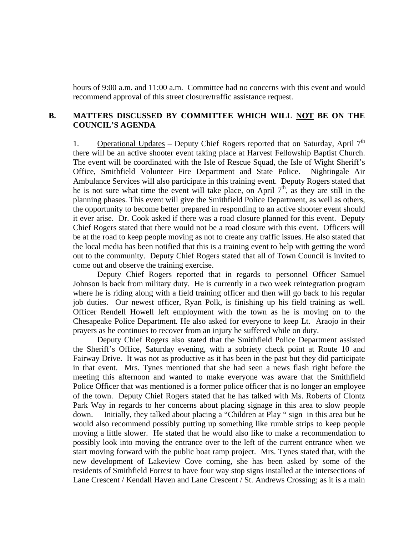hours of 9:00 a.m. and 11:00 a.m. Committee had no concerns with this event and would recommend approval of this street closure/traffic assistance request.

#### **B. MATTERS DISCUSSED BY COMMITTEE WHICH WILL NOT BE ON THE COUNCIL'S AGENDA**

1. Operational Updates – Deputy Chief Rogers reported that on Saturday, April  $7<sup>th</sup>$ there will be an active shooter event taking place at Harvest Fellowship Baptist Church. The event will be coordinated with the Isle of Rescue Squad, the Isle of Wight Sheriff's Office, Smithfield Volunteer Fire Department and State Police. Nightingale Air Ambulance Services will also participate in this training event. Deputy Rogers stated that he is not sure what time the event will take place, on April  $7<sup>th</sup>$ , as they are still in the planning phases. This event will give the Smithfield Police Department, as well as others, the opportunity to become better prepared in responding to an active shooter event should it ever arise. Dr. Cook asked if there was a road closure planned for this event. Deputy Chief Rogers stated that there would not be a road closure with this event. Officers will be at the road to keep people moving as not to create any traffic issues. He also stated that the local media has been notified that this is a training event to help with getting the word out to the community. Deputy Chief Rogers stated that all of Town Council is invited to come out and observe the training exercise.

 Deputy Chief Rogers reported that in regards to personnel Officer Samuel Johnson is back from military duty. He is currently in a two week reintegration program where he is riding along with a field training officer and then will go back to his regular job duties. Our newest officer, Ryan Polk, is finishing up his field training as well. Officer Rendell Howell left employment with the town as he is moving on to the Chesapeake Police Department. He also asked for everyone to keep Lt. Araojo in their prayers as he continues to recover from an injury he suffered while on duty.

 Deputy Chief Rogers also stated that the Smithfield Police Department assisted the Sheriff's Office, Saturday evening, with a sobriety check point at Route 10 and Fairway Drive. It was not as productive as it has been in the past but they did participate in that event. Mrs. Tynes mentioned that she had seen a news flash right before the meeting this afternoon and wanted to make everyone was aware that the Smithfield Police Officer that was mentioned is a former police officer that is no longer an employee of the town. Deputy Chief Rogers stated that he has talked with Ms. Roberts of Clontz Park Way in regards to her concerns about placing signage in this area to slow people down. Initially, they talked about placing a "Children at Play " sign in this area but he would also recommend possibly putting up something like rumble strips to keep people moving a little slower. He stated that he would also like to make a recommendation to possibly look into moving the entrance over to the left of the current entrance when we start moving forward with the public boat ramp project. Mrs. Tynes stated that, with the new development of Lakeview Cove coming, she has been asked by some of the residents of Smithfield Forrest to have four way stop signs installed at the intersections of Lane Crescent / Kendall Haven and Lane Crescent / St. Andrews Crossing; as it is a main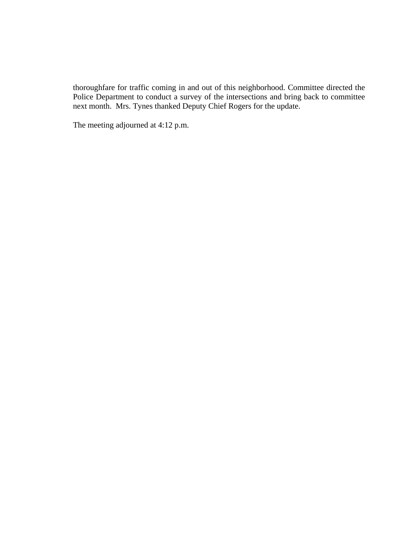thoroughfare for traffic coming in and out of this neighborhood. Committee directed the Police Department to conduct a survey of the intersections and bring back to committee next month. Mrs. Tynes thanked Deputy Chief Rogers for the update.

The meeting adjourned at 4:12 p.m.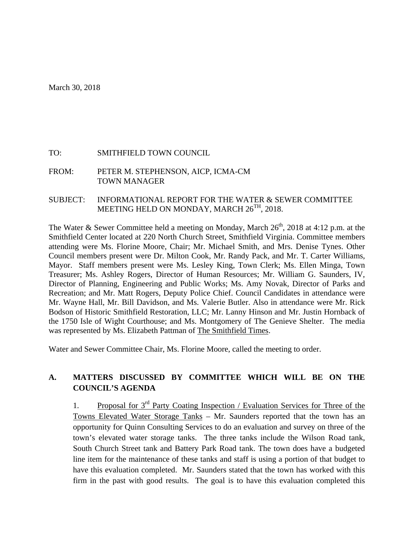#### TO: SMITHFIELD TOWN COUNCIL

FROM: PETER M. STEPHENSON, AICP, ICMA-CM TOWN MANAGER

#### SUBJECT: INFORMATIONAL REPORT FOR THE WATER & SEWER COMMITTEE MEETING HELD ON MONDAY, MARCH 26<sup>TH</sup>, 2018.

The Water & Sewer Committee held a meeting on Monday, March  $26<sup>th</sup>$ , 2018 at 4:12 p.m. at the Smithfield Center located at 220 North Church Street, Smithfield Virginia. Committee members attending were Ms. Florine Moore, Chair; Mr. Michael Smith, and Mrs. Denise Tynes. Other Council members present were Dr. Milton Cook, Mr. Randy Pack, and Mr. T. Carter Williams, Mayor. Staff members present were Ms. Lesley King, Town Clerk; Ms. Ellen Minga, Town Treasurer; Ms. Ashley Rogers, Director of Human Resources; Mr. William G. Saunders, IV, Director of Planning, Engineering and Public Works; Ms. Amy Novak, Director of Parks and Recreation; and Mr. Matt Rogers, Deputy Police Chief. Council Candidates in attendance were Mr. Wayne Hall, Mr. Bill Davidson, and Ms. Valerie Butler. Also in attendance were Mr. Rick Bodson of Historic Smithfield Restoration, LLC; Mr. Lanny Hinson and Mr. Justin Hornback of the 1750 Isle of Wight Courthouse; and Ms. Montgomery of The Genieve Shelter. The media was represented by Ms. Elizabeth Pattman of The Smithfield Times.

Water and Sewer Committee Chair, Ms. Florine Moore, called the meeting to order.

#### **A. MATTERS DISCUSSED BY COMMITTEE WHICH WILL BE ON THE COUNCIL'S AGENDA**

1. Proposal for 3rd Party Coating Inspection / Evaluation Services for Three of the Towns Elevated Water Storage Tanks – Mr. Saunders reported that the town has an opportunity for Quinn Consulting Services to do an evaluation and survey on three of the town's elevated water storage tanks. The three tanks include the Wilson Road tank, South Church Street tank and Battery Park Road tank. The town does have a budgeted line item for the maintenance of these tanks and staff is using a portion of that budget to have this evaluation completed. Mr. Saunders stated that the town has worked with this firm in the past with good results. The goal is to have this evaluation completed this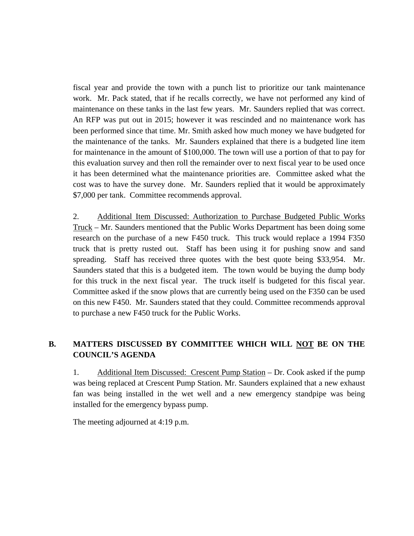fiscal year and provide the town with a punch list to prioritize our tank maintenance work. Mr. Pack stated, that if he recalls correctly, we have not performed any kind of maintenance on these tanks in the last few years. Mr. Saunders replied that was correct. An RFP was put out in 2015; however it was rescinded and no maintenance work has been performed since that time. Mr. Smith asked how much money we have budgeted for the maintenance of the tanks. Mr. Saunders explained that there is a budgeted line item for maintenance in the amount of \$100,000. The town will use a portion of that to pay for this evaluation survey and then roll the remainder over to next fiscal year to be used once it has been determined what the maintenance priorities are. Committee asked what the cost was to have the survey done. Mr. Saunders replied that it would be approximately \$7,000 per tank. Committee recommends approval.

2. Additional Item Discussed: Authorization to Purchase Budgeted Public Works Truck – Mr. Saunders mentioned that the Public Works Department has been doing some research on the purchase of a new F450 truck. This truck would replace a 1994 F350 truck that is pretty rusted out. Staff has been using it for pushing snow and sand spreading. Staff has received three quotes with the best quote being \$33,954. Mr. Saunders stated that this is a budgeted item. The town would be buying the dump body for this truck in the next fiscal year. The truck itself is budgeted for this fiscal year. Committee asked if the snow plows that are currently being used on the F350 can be used on this new F450. Mr. Saunders stated that they could. Committee recommends approval to purchase a new F450 truck for the Public Works.

#### **B. MATTERS DISCUSSED BY COMMITTEE WHICH WILL NOT BE ON THE COUNCIL'S AGENDA**

1. Additional Item Discussed: Crescent Pump Station – Dr. Cook asked if the pump was being replaced at Crescent Pump Station. Mr. Saunders explained that a new exhaust fan was being installed in the wet well and a new emergency standpipe was being installed for the emergency bypass pump.

The meeting adjourned at 4:19 p.m.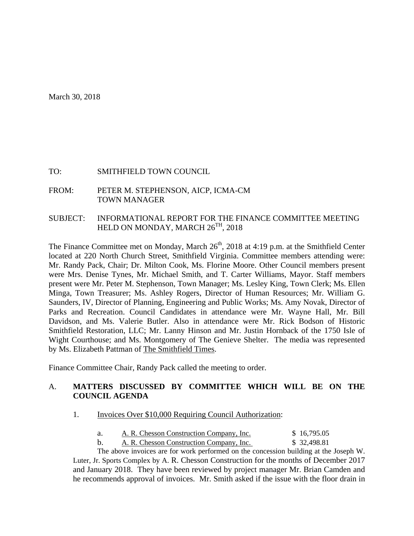March 30, 2018

#### TO: SMITHFIELD TOWN COUNCIL

FROM: PETER M. STEPHENSON, AICP, ICMA-CM TOWN MANAGER

#### SUBJECT: INFORMATIONAL REPORT FOR THE FINANCE COMMITTEE MEETING HELD ON MONDAY, MARCH  $26^{TH}$ , 2018

The Finance Committee met on Monday, March 26<sup>th</sup>, 2018 at 4:19 p.m. at the Smithfield Center located at 220 North Church Street, Smithfield Virginia. Committee members attending were: Mr. Randy Pack, Chair; Dr. Milton Cook, Ms. Florine Moore. Other Council members present were Mrs. Denise Tynes, Mr. Michael Smith, and T. Carter Williams, Mayor. Staff members present were Mr. Peter M. Stephenson, Town Manager; Ms. Lesley King, Town Clerk; Ms. Ellen Minga, Town Treasurer; Ms. Ashley Rogers, Director of Human Resources; Mr. William G. Saunders, IV, Director of Planning, Engineering and Public Works; Ms. Amy Novak, Director of Parks and Recreation. Council Candidates in attendance were Mr. Wayne Hall, Mr. Bill Davidson, and Ms. Valerie Butler. Also in attendance were Mr. Rick Bodson of Historic Smithfield Restoration, LLC; Mr. Lanny Hinson and Mr. Justin Hornback of the 1750 Isle of Wight Courthouse; and Ms. Montgomery of The Genieve Shelter. The media was represented by Ms. Elizabeth Pattman of The Smithfield Times.

Finance Committee Chair, Randy Pack called the meeting to order.

#### A. **MATTERS DISCUSSED BY COMMITTEE WHICH WILL BE ON THE COUNCIL AGENDA**

- 1. Invoices Over \$10,000 Requiring Council Authorization:
	- a. A. R. Chesson Construction Company, Inc.  $$16,795.05$
	- b. A. R. Chesson Construction Company, Inc. \$ 32,498.81

 The above invoices are for work performed on the concession building at the Joseph W. Luter, Jr. Sports Complex by A. R. Chesson Construction for the months of December 2017 and January 2018. They have been reviewed by project manager Mr. Brian Camden and he recommends approval of invoices. Mr. Smith asked if the issue with the floor drain in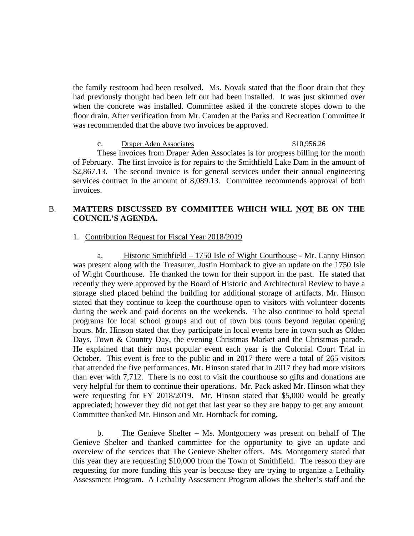the family restroom had been resolved. Ms. Novak stated that the floor drain that they had previously thought had been left out had been installed. It was just skimmed over when the concrete was installed. Committee asked if the concrete slopes down to the floor drain. After verification from Mr. Camden at the Parks and Recreation Committee it was recommended that the above two invoices be approved.

c. Draper Aden Associates \$10,956.26 These invoices from Draper Aden Associates is for progress billing for the month of February. The first invoice is for repairs to the Smithfield Lake Dam in the amount of \$2,867.13. The second invoice is for general services under their annual engineering services contract in the amount of 8,089.13. Committee recommends approval of both invoices.

#### B. **MATTERS DISCUSSED BY COMMITTEE WHICH WILL NOT BE ON THE COUNCIL'S AGENDA.**

#### 1. Contribution Request for Fiscal Year 2018/2019

a. Historic Smithfield – 1750 Isle of Wight Courthouse - Mr. Lanny Hinson was present along with the Treasurer, Justin Hornback to give an update on the 1750 Isle of Wight Courthouse. He thanked the town for their support in the past. He stated that recently they were approved by the Board of Historic and Architectural Review to have a storage shed placed behind the building for additional storage of artifacts. Mr. Hinson stated that they continue to keep the courthouse open to visitors with volunteer docents during the week and paid docents on the weekends. The also continue to hold special programs for local school groups and out of town bus tours beyond regular opening hours. Mr. Hinson stated that they participate in local events here in town such as Olden Days, Town & Country Day, the evening Christmas Market and the Christmas parade. He explained that their most popular event each year is the Colonial Court Trial in October. This event is free to the public and in 2017 there were a total of 265 visitors that attended the five performances. Mr. Hinson stated that in 2017 they had more visitors than ever with 7,712. There is no cost to visit the courthouse so gifts and donations are very helpful for them to continue their operations. Mr. Pack asked Mr. Hinson what they were requesting for FY 2018/2019. Mr. Hinson stated that \$5,000 would be greatly appreciated; however they did not get that last year so they are happy to get any amount. Committee thanked Mr. Hinson and Mr. Hornback for coming.

b. The Genieve Shelter – Ms. Montgomery was present on behalf of The Genieve Shelter and thanked committee for the opportunity to give an update and overview of the services that The Genieve Shelter offers. Ms. Montgomery stated that this year they are requesting \$10,000 from the Town of Smithfield. The reason they are requesting for more funding this year is because they are trying to organize a Lethality Assessment Program. A Lethality Assessment Program allows the shelter's staff and the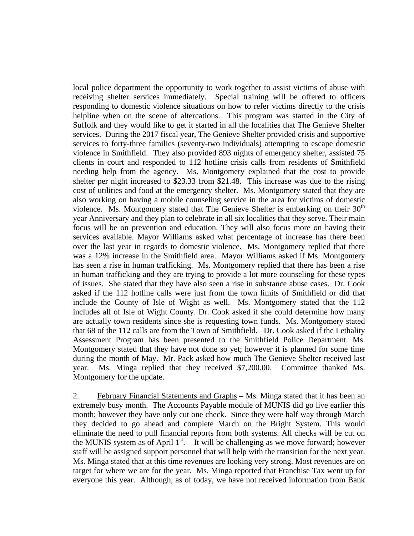local police department the opportunity to work together to assist victims of abuse with receiving shelter services immediately. Special training will be offered to officers responding to domestic violence situations on how to refer victims directly to the crisis helpline when on the scene of altercations. This program was started in the City of Suffolk and they would like to get it started in all the localities that The Genieve Shelter services. During the 2017 fiscal year, The Genieve Shelter provided crisis and supportive services to forty-three families (seventy-two individuals) attempting to escape domestic violence in Smithfield. They also provided 893 nights of emergency shelter, assisted 75 clients in court and responded to 112 hotline crisis calls from residents of Smithfield needing help from the agency. Ms. Montgomery explained that the cost to provide shelter per night increased to \$23.33 from \$21.48. This increase was due to the rising cost of utilities and food at the emergency shelter. Ms. Montgomery stated that they are also working on having a mobile counseling service in the area for victims of domestic violence. Ms. Montgomery stated that The Genieve Shelter is embarking on their  $30<sup>th</sup>$ year Anniversary and they plan to celebrate in all six localities that they serve. Their main focus will be on prevention and education. They will also focus more on having their services available. Mayor Williams asked what percentage of increase has there been over the last year in regards to domestic violence. Ms. Montgomery replied that there was a 12% increase in the Smithfield area. Mayor Williams asked if Ms. Montgomery has seen a rise in human trafficking. Ms. Montgomery replied that there has been a rise in human trafficking and they are trying to provide a lot more counseling for these types of issues. She stated that they have also seen a rise in substance abuse cases. Dr. Cook asked if the 112 hotline calls were just from the town limits of Smithfield or did that include the County of Isle of Wight as well. Ms. Montgomery stated that the 112 includes all of Isle of Wight County. Dr. Cook asked if she could determine how many are actually town residents since she is requesting town funds. Ms. Montgomery stated that 68 of the 112 calls are from the Town of Smithfield. Dr. Cook asked if the Lethality Assessment Program has been presented to the Smithfield Police Department. Ms. Montgomery stated that they have not done so yet; however it is planned for some time during the month of May. Mr. Pack asked how much The Genieve Shelter received last year. Ms. Minga replied that they received \$7,200.00. Committee thanked Ms. Montgomery for the update.

2. February Financial Statements and Graphs – Ms. Minga stated that it has been an extremely busy month. The Accounts Payable module of MUNIS did go live earlier this month; however they have only cut one check. Since they were half way through March they decided to go ahead and complete March on the Bright System. This would eliminate the need to pull financial reports from both systems. All checks will be cut on the MUNIS system as of April  $1<sup>st</sup>$ . It will be challenging as we move forward; however staff will be assigned support personnel that will help with the transition for the next year. Ms. Minga stated that at this time revenues are looking very strong. Most revenues are on target for where we are for the year. Ms. Minga reported that Franchise Tax went up for everyone this year. Although, as of today, we have not received information from Bank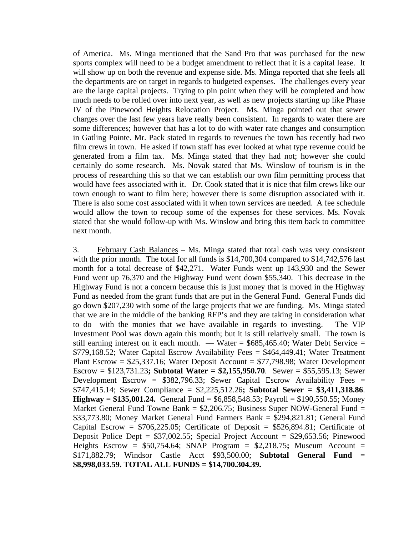of America. Ms. Minga mentioned that the Sand Pro that was purchased for the new sports complex will need to be a budget amendment to reflect that it is a capital lease. It will show up on both the revenue and expense side. Ms. Minga reported that she feels all the departments are on target in regards to budgeted expenses. The challenges every year are the large capital projects. Trying to pin point when they will be completed and how much needs to be rolled over into next year, as well as new projects starting up like Phase IV of the Pinewood Heights Relocation Project. Ms. Minga pointed out that sewer charges over the last few years have really been consistent. In regards to water there are some differences; however that has a lot to do with water rate changes and consumption in Gatling Pointe. Mr. Pack stated in regards to revenues the town has recently had two film crews in town. He asked if town staff has ever looked at what type revenue could be generated from a film tax. Ms. Minga stated that they had not; however she could certainly do some research. Ms. Novak stated that Ms. Winslow of tourism is in the process of researching this so that we can establish our own film permitting process that would have fees associated with it. Dr. Cook stated that it is nice that film crews like our town enough to want to film here; however there is some disruption associated with it. There is also some cost associated with it when town services are needed. A fee schedule would allow the town to recoup some of the expenses for these services. Ms. Novak stated that she would follow-up with Ms. Winslow and bring this item back to committee next month.

3. February Cash Balances – Ms. Minga stated that total cash was very consistent with the prior month. The total for all funds is \$14,700,304 compared to \$14,742,576 last month for a total decrease of \$42,271. Water Funds went up 143,930 and the Sewer Fund went up 76,370 and the Highway Fund went down \$55,340. This decrease in the Highway Fund is not a concern because this is just money that is moved in the Highway Fund as needed from the grant funds that are put in the General Fund. General Funds did go down \$207,230 with some of the large projects that we are funding. Ms. Minga stated that we are in the middle of the banking RFP's and they are taking in consideration what to do with the monies that we have available in regards to investing. The VIP Investment Pool was down again this month; but it is still relatively small. The town is still earning interest on it each month. — Water =  $$685,465.40$ ; Water Debt Service = \$779,168.52; Water Capital Escrow Availability Fees = \$464,449.41; Water Treatment Plant Escrow =  $$25,337.16$ ; Water Deposit Account =  $$77,798.98$ ; Water Development Escrow = \$123,731.23**; Subtotal Water = \$2,155,950.70**. Sewer = \$55,595.13; Sewer Development Escrow =  $$382,796.33$ ; Sewer Capital Escrow Availability Fees = \$747,415.14; Sewer Compliance = \$2,225,512.26**; Subtotal Sewer = \$3,411,318.86**. **Highway = \$135,001.24.** General Fund = \$6,858,548.53; Payroll = \$190,550.55; Money Market General Fund Towne Bank =  $$2,206.75$ ; Business Super NOW-General Fund = \$33,773.80; Money Market General Fund Farmers Bank = \$294,821.81; General Fund Capital Escrow =  $$706,225.05$ ; Certificate of Deposit =  $$526,894.81$ ; Certificate of Deposit Police Dept =  $$37,002.55$ ; Special Project Account =  $$29,653.56$ ; Pinewood Heights Escrow = \$50,754.64; SNAP Program = \$2,218.75**;** Museum Account = \$171,882.79; Windsor Castle Acct \$93,500.00; **Subtotal General Fund = \$8,998,033.59. TOTAL ALL FUNDS = \$14,700.304.39.**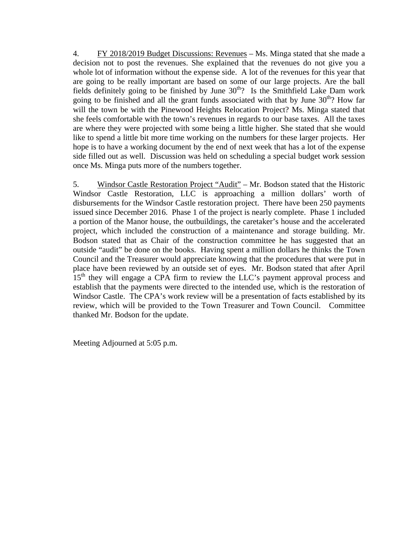4. FY 2018/2019 Budget Discussions: Revenues – Ms. Minga stated that she made a decision not to post the revenues. She explained that the revenues do not give you a whole lot of information without the expense side. A lot of the revenues for this year that are going to be really important are based on some of our large projects. Are the ball fields definitely going to be finished by June  $30<sup>th</sup>$ ? Is the Smithfield Lake Dam work going to be finished and all the grant funds associated with that by June  $30<sup>th</sup>$ ? How far will the town be with the Pinewood Heights Relocation Project? Ms. Minga stated that she feels comfortable with the town's revenues in regards to our base taxes. All the taxes are where they were projected with some being a little higher. She stated that she would like to spend a little bit more time working on the numbers for these larger projects. Her hope is to have a working document by the end of next week that has a lot of the expense side filled out as well. Discussion was held on scheduling a special budget work session once Ms. Minga puts more of the numbers together.

5. Windsor Castle Restoration Project "Audit" – Mr. Bodson stated that the Historic Windsor Castle Restoration, LLC is approaching a million dollars' worth of disbursements for the Windsor Castle restoration project. There have been 250 payments issued since December 2016. Phase 1 of the project is nearly complete. Phase 1 included a portion of the Manor house, the outbuildings, the caretaker's house and the accelerated project, which included the construction of a maintenance and storage building. Mr. Bodson stated that as Chair of the construction committee he has suggested that an outside "audit" be done on the books. Having spent a million dollars he thinks the Town Council and the Treasurer would appreciate knowing that the procedures that were put in place have been reviewed by an outside set of eyes. Mr. Bodson stated that after April  $15<sup>th</sup>$  they will engage a CPA firm to review the LLC's payment approval process and establish that the payments were directed to the intended use, which is the restoration of Windsor Castle. The CPA's work review will be a presentation of facts established by its review, which will be provided to the Town Treasurer and Town Council. Committee thanked Mr. Bodson for the update.

Meeting Adjourned at 5:05 p.m.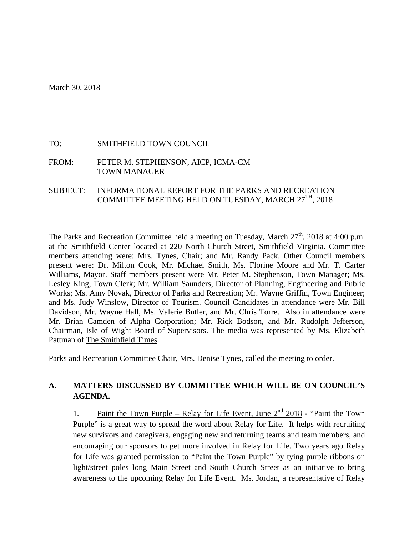#### TO: SMITHFIELD TOWN COUNCIL

FROM: PETER M. STEPHENSON, AICP, ICMA-CM TOWN MANAGER

SUBJECT: INFORMATIONAL REPORT FOR THE PARKS AND RECREATION COMMITTEE MEETING HELD ON TUESDAY, MARCH 27TH, 2018

The Parks and Recreation Committee held a meeting on Tuesday, March  $27<sup>th</sup>$ , 2018 at 4:00 p.m. at the Smithfield Center located at 220 North Church Street, Smithfield Virginia. Committee members attending were: Mrs. Tynes, Chair; and Mr. Randy Pack. Other Council members present were: Dr. Milton Cook, Mr. Michael Smith, Ms. Florine Moore and Mr. T. Carter Williams, Mayor. Staff members present were Mr. Peter M. Stephenson, Town Manager; Ms. Lesley King, Town Clerk; Mr. William Saunders, Director of Planning, Engineering and Public Works; Ms. Amy Novak, Director of Parks and Recreation; Mr. Wayne Griffin, Town Engineer; and Ms. Judy Winslow, Director of Tourism. Council Candidates in attendance were Mr. Bill Davidson, Mr. Wayne Hall, Ms. Valerie Butler, and Mr. Chris Torre. Also in attendance were Mr. Brian Camden of Alpha Corporation; Mr. Rick Bodson, and Mr. Rudolph Jefferson, Chairman, Isle of Wight Board of Supervisors. The media was represented by Ms. Elizabeth Pattman of The Smithfield Times.

Parks and Recreation Committee Chair, Mrs. Denise Tynes, called the meeting to order.

#### **A. MATTERS DISCUSSED BY COMMITTEE WHICH WILL BE ON COUNCIL'S AGENDA.**

1. Paint the Town Purple – Relay for Life Event, June  $2<sup>nd</sup>$  2018 - "Paint the Town Purple" is a great way to spread the word about Relay for Life. It helps with recruiting new survivors and caregivers, engaging new and returning teams and team members, and encouraging our sponsors to get more involved in Relay for Life. Two years ago Relay for Life was granted permission to "Paint the Town Purple" by tying purple ribbons on light/street poles long Main Street and South Church Street as an initiative to bring awareness to the upcoming Relay for Life Event. Ms. Jordan, a representative of Relay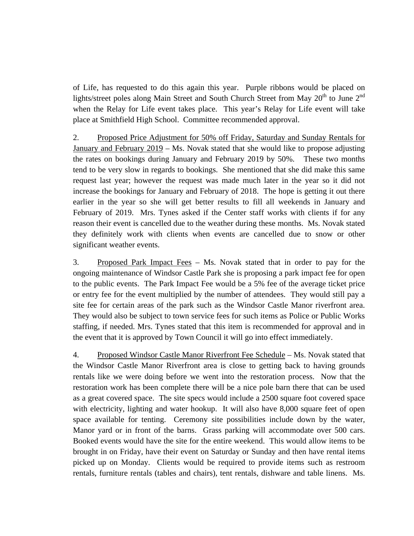of Life, has requested to do this again this year. Purple ribbons would be placed on lights/street poles along Main Street and South Church Street from May  $20^{th}$  to June  $2^{nd}$ when the Relay for Life event takes place. This year's Relay for Life event will take place at Smithfield High School. Committee recommended approval.

2. Proposed Price Adjustment for 50% off Friday, Saturday and Sunday Rentals for January and February 2019 – Ms. Novak stated that she would like to propose adjusting the rates on bookings during January and February 2019 by 50%. These two months tend to be very slow in regards to bookings. She mentioned that she did make this same request last year; however the request was made much later in the year so it did not increase the bookings for January and February of 2018. The hope is getting it out there earlier in the year so she will get better results to fill all weekends in January and February of 2019. Mrs. Tynes asked if the Center staff works with clients if for any reason their event is cancelled due to the weather during these months. Ms. Novak stated they definitely work with clients when events are cancelled due to snow or other significant weather events.

3. Proposed Park Impact Fees – Ms. Novak stated that in order to pay for the ongoing maintenance of Windsor Castle Park she is proposing a park impact fee for open to the public events. The Park Impact Fee would be a 5% fee of the average ticket price or entry fee for the event multiplied by the number of attendees. They would still pay a site fee for certain areas of the park such as the Windsor Castle Manor riverfront area. They would also be subject to town service fees for such items as Police or Public Works staffing, if needed. Mrs. Tynes stated that this item is recommended for approval and in the event that it is approved by Town Council it will go into effect immediately.

4. Proposed Windsor Castle Manor Riverfront Fee Schedule – Ms. Novak stated that the Windsor Castle Manor Riverfront area is close to getting back to having grounds rentals like we were doing before we went into the restoration process. Now that the restoration work has been complete there will be a nice pole barn there that can be used as a great covered space. The site specs would include a 2500 square foot covered space with electricity, lighting and water hookup. It will also have 8,000 square feet of open space available for tenting. Ceremony site possibilities include down by the water, Manor yard or in front of the barns. Grass parking will accommodate over 500 cars. Booked events would have the site for the entire weekend. This would allow items to be brought in on Friday, have their event on Saturday or Sunday and then have rental items picked up on Monday. Clients would be required to provide items such as restroom rentals, furniture rentals (tables and chairs), tent rentals, dishware and table linens. Ms.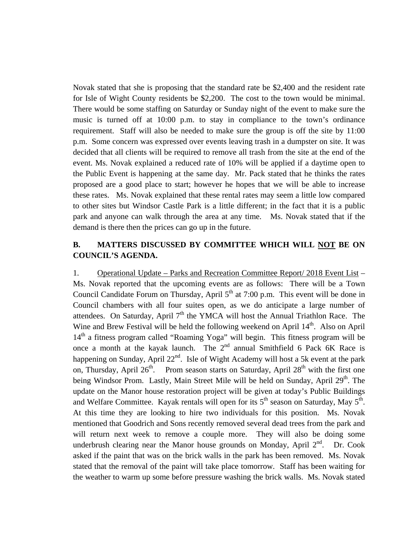Novak stated that she is proposing that the standard rate be \$2,400 and the resident rate for Isle of Wight County residents be \$2,200. The cost to the town would be minimal. There would be some staffing on Saturday or Sunday night of the event to make sure the music is turned off at 10:00 p.m. to stay in compliance to the town's ordinance requirement. Staff will also be needed to make sure the group is off the site by 11:00 p.m. Some concern was expressed over events leaving trash in a dumpster on site. It was decided that all clients will be required to remove all trash from the site at the end of the event. Ms. Novak explained a reduced rate of 10% will be applied if a daytime open to the Public Event is happening at the same day. Mr. Pack stated that he thinks the rates proposed are a good place to start; however he hopes that we will be able to increase these rates. Ms. Novak explained that these rental rates may seem a little low compared to other sites but Windsor Castle Park is a little different; in the fact that it is a public park and anyone can walk through the area at any time. Ms. Novak stated that if the demand is there then the prices can go up in the future.

#### **B. MATTERS DISCUSSED BY COMMITTEE WHICH WILL NOT BE ON COUNCIL'S AGENDA.**

1. Operational Update – Parks and Recreation Committee Report/ 2018 Event List – Ms. Novak reported that the upcoming events are as follows: There will be a Town Council Candidate Forum on Thursday, April  $5<sup>th</sup>$  at 7:00 p.m. This event will be done in Council chambers with all four suites open, as we do anticipate a large number of attendees. On Saturday, April  $7<sup>th</sup>$  the YMCA will host the Annual Triathlon Race. The Wine and Brew Festival will be held the following weekend on April 14<sup>th</sup>. Also on April  $14<sup>th</sup>$  a fitness program called "Roaming Yoga" will begin. This fitness program will be once a month at the kayak launch. The  $2<sup>nd</sup>$  annual Smithfield 6 Pack 6K Race is happening on Sunday, April  $22<sup>nd</sup>$ . Isle of Wight Academy will host a 5k event at the park on, Thursday, April  $26<sup>th</sup>$ . Prom season starts on Saturday, April  $28<sup>th</sup>$  with the first one being Windsor Prom. Lastly, Main Street Mile will be held on Sunday, April  $29<sup>th</sup>$ . The update on the Manor house restoration project will be given at today's Public Buildings and Welfare Committee. Kayak rentals will open for its  $5<sup>th</sup>$  season on Saturday, May  $5<sup>th</sup>$ . At this time they are looking to hire two individuals for this position. Ms. Novak mentioned that Goodrich and Sons recently removed several dead trees from the park and will return next week to remove a couple more. They will also be doing some underbrush clearing near the Manor house grounds on Monday, April  $2<sup>nd</sup>$ . Dr. Cook asked if the paint that was on the brick walls in the park has been removed. Ms. Novak stated that the removal of the paint will take place tomorrow. Staff has been waiting for the weather to warm up some before pressure washing the brick walls. Ms. Novak stated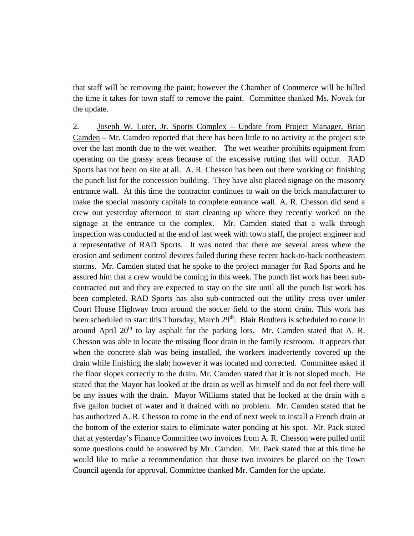that staff will be removing the paint; however the Chamber of Commerce will be billed the time it takes for town staff to remove the paint. Committee thanked Ms. Novak for the update.

2. Joseph W. Luter, Jr. Sports Complex – Update from Project Manager, Brian Camden – Mr. Camden reported that there has been little to no activity at the project site over the last month due to the wet weather. The wet weather prohibits equipment from operating on the grassy areas because of the excessive rutting that will occur. RAD Sports has not been on site at all. A. R. Chesson has been out there working on finishing the punch list for the concession building. They have also placed signage on the masonry entrance wall. At this time the contractor continues to wait on the brick manufacturer to make the special masonry capitals to complete entrance wall. A. R. Chesson did send a crew out yesterday afternoon to start cleaning up where they recently worked on the signage at the entrance to the complex. Mr. Camden stated that a walk through inspection was conducted at the end of last week with town staff, the project engineer and a representative of RAD Sports. It was noted that there are several areas where the erosion and sediment control devices failed during these recent back-to-back northeastern storms. Mr. Camden stated that he spoke to the project manager for Rad Sports and he assured him that a crew would be coming in this week. The punch list work has been subcontracted out and they are expected to stay on the site until all the punch list work has been completed. RAD Sports has also sub-contracted out the utility cross over under Court House Highway from around the soccer field to the storm drain. This work has been scheduled to start this Thursday, March 29<sup>th</sup>. Blair Brothers is scheduled to come in around April  $20<sup>th</sup>$  to lay asphalt for the parking lots. Mr. Camden stated that A. R. Chesson was able to locate the missing floor drain in the family restroom. It appears that when the concrete slab was being installed, the workers inadvertently covered up the drain while finishing the slab; however it was located and corrected. Committee asked if the floor slopes correctly to the drain. Mr. Camden stated that it is not sloped much. He stated that the Mayor has looked at the drain as well as himself and do not feel there will be any issues with the drain. Mayor Williams stated that he looked at the drain with a five gallon bucket of water and it drained with no problem. Mr. Camden stated that he has authorized A. R. Chesson to come in the end of next week to install a French drain at the bottom of the exterior stairs to eliminate water ponding at his spot. Mr. Pack stated that at yesterday's Finance Committee two invoices from A. R. Chesson were pulled until some questions could be answered by Mr. Camden. Mr. Pack stated that at this time he would like to make a recommendation that those two invoices be placed on the Town Council agenda for approval. Committee thanked Mr. Camden for the update.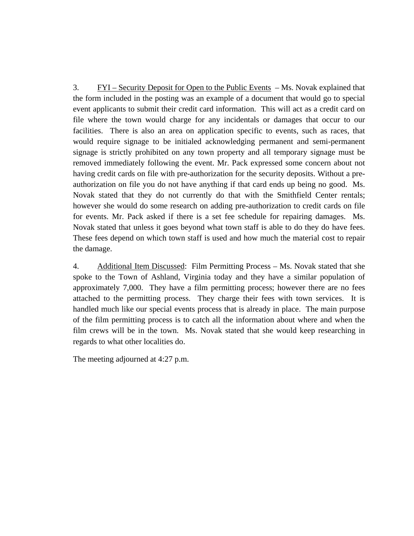3. FYI – Security Deposit for Open to the Public Events – Ms. Novak explained that the form included in the posting was an example of a document that would go to special event applicants to submit their credit card information. This will act as a credit card on file where the town would charge for any incidentals or damages that occur to our facilities. There is also an area on application specific to events, such as races, that would require signage to be initialed acknowledging permanent and semi-permanent signage is strictly prohibited on any town property and all temporary signage must be removed immediately following the event. Mr. Pack expressed some concern about not having credit cards on file with pre-authorization for the security deposits. Without a preauthorization on file you do not have anything if that card ends up being no good. Ms. Novak stated that they do not currently do that with the Smithfield Center rentals; however she would do some research on adding pre-authorization to credit cards on file for events. Mr. Pack asked if there is a set fee schedule for repairing damages. Ms. Novak stated that unless it goes beyond what town staff is able to do they do have fees. These fees depend on which town staff is used and how much the material cost to repair the damage.

4. Additional Item Discussed: Film Permitting Process – Ms. Novak stated that she spoke to the Town of Ashland, Virginia today and they have a similar population of approximately 7,000. They have a film permitting process; however there are no fees attached to the permitting process. They charge their fees with town services. It is handled much like our special events process that is already in place. The main purpose of the film permitting process is to catch all the information about where and when the film crews will be in the town. Ms. Novak stated that she would keep researching in regards to what other localities do.

The meeting adjourned at 4:27 p.m.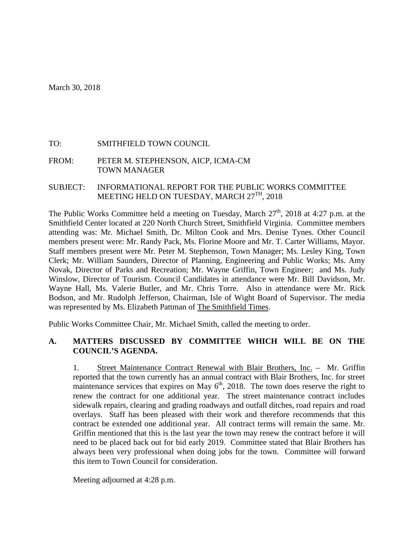#### TO: SMITHFIELD TOWN COUNCIL

FROM: PETER M. STEPHENSON, AICP, ICMA-CM TOWN MANAGER

#### SUBJECT: INFORMATIONAL REPORT FOR THE PUBLIC WORKS COMMITTEE MEETING HELD ON TUESDAY, MARCH 27<sup>TH</sup>, 2018

The Public Works Committee held a meeting on Tuesday, March  $27<sup>th</sup>$ , 2018 at 4:27 p.m. at the Smithfield Center located at 220 North Church Street, Smithfield Virginia. Committee members attending was: Mr. Michael Smith, Dr. Milton Cook and Mrs. Denise Tynes. Other Council members present were: Mr. Randy Pack, Ms. Florine Moore and Mr. T. Carter Williams, Mayor. Staff members present were Mr. Peter M. Stephenson, Town Manager; Ms. Lesley King, Town Clerk; Mr. William Saunders, Director of Planning, Engineering and Public Works; Ms. Amy Novak, Director of Parks and Recreation; Mr. Wayne Griffin, Town Engineer; and Ms. Judy Winslow, Director of Tourism. Council Candidates in attendance were Mr. Bill Davidson, Mr. Wayne Hall, Ms. Valerie Butler, and Mr. Chris Torre. Also in attendance were Mr. Rick Bodson, and Mr. Rudolph Jefferson, Chairman, Isle of Wight Board of Supervisor. The media was represented by Ms. Elizabeth Pattman of The Smithfield Times.

Public Works Committee Chair, Mr. Michael Smith, called the meeting to order.

#### **A. MATTERS DISCUSSED BY COMMITTEE WHICH WILL BE ON THE COUNCIL'S AGENDA.**

1. Street Maintenance Contract Renewal with Blair Brothers, Inc. – Mr. Griffin reported that the town currently has an annual contract with Blair Brothers, Inc. for street maintenance services that expires on May  $6<sup>th</sup>$ , 2018. The town does reserve the right to renew the contract for one additional year. The street maintenance contract includes sidewalk repairs, clearing and grading roadways and outfall ditches, road repairs and road overlays. Staff has been pleased with their work and therefore recommends that this contract be extended one additional year. All contract terms will remain the same. Mr. Griffin mentioned that this is the last year the town may renew the contract before it will need to be placed back out for bid early 2019. Committee stated that Blair Brothers has always been very professional when doing jobs for the town. Committee will forward this item to Town Council for consideration.

Meeting adjourned at 4:28 p.m.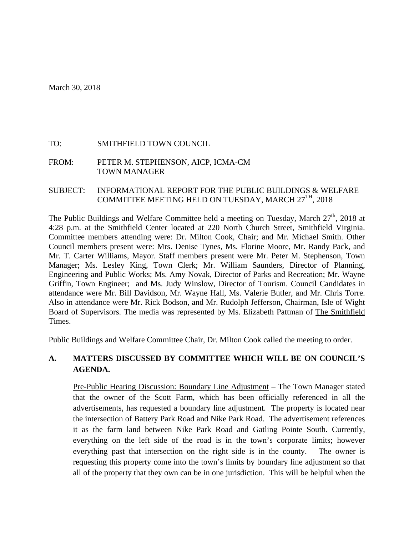#### TO: SMITHFIELD TOWN COUNCIL

FROM: PETER M. STEPHENSON, AICP, ICMA-CM TOWN MANAGER

#### SUBJECT: INFORMATIONAL REPORT FOR THE PUBLIC BUILDINGS & WELFARE COMMITTEE MEETING HELD ON TUESDAY, MARCH 27TH, 2018

The Public Buildings and Welfare Committee held a meeting on Tuesday, March  $27<sup>th</sup>$ , 2018 at 4:28 p.m. at the Smithfield Center located at 220 North Church Street, Smithfield Virginia. Committee members attending were: Dr. Milton Cook, Chair; and Mr. Michael Smith. Other Council members present were: Mrs. Denise Tynes, Ms. Florine Moore, Mr. Randy Pack, and Mr. T. Carter Williams, Mayor. Staff members present were Mr. Peter M. Stephenson, Town Manager; Ms. Lesley King, Town Clerk; Mr. William Saunders, Director of Planning, Engineering and Public Works; Ms. Amy Novak, Director of Parks and Recreation; Mr. Wayne Griffin, Town Engineer; and Ms. Judy Winslow, Director of Tourism. Council Candidates in attendance were Mr. Bill Davidson, Mr. Wayne Hall, Ms. Valerie Butler, and Mr. Chris Torre. Also in attendance were Mr. Rick Bodson, and Mr. Rudolph Jefferson, Chairman, Isle of Wight Board of Supervisors. The media was represented by Ms. Elizabeth Pattman of The Smithfield Times.

Public Buildings and Welfare Committee Chair, Dr. Milton Cook called the meeting to order.

#### **A. MATTERS DISCUSSED BY COMMITTEE WHICH WILL BE ON COUNCIL'S AGENDA.**

Pre-Public Hearing Discussion: Boundary Line Adjustment – The Town Manager stated that the owner of the Scott Farm, which has been officially referenced in all the advertisements, has requested a boundary line adjustment. The property is located near the intersection of Battery Park Road and Nike Park Road. The advertisement references it as the farm land between Nike Park Road and Gatling Pointe South. Currently, everything on the left side of the road is in the town's corporate limits; however everything past that intersection on the right side is in the county. The owner is requesting this property come into the town's limits by boundary line adjustment so that all of the property that they own can be in one jurisdiction. This will be helpful when the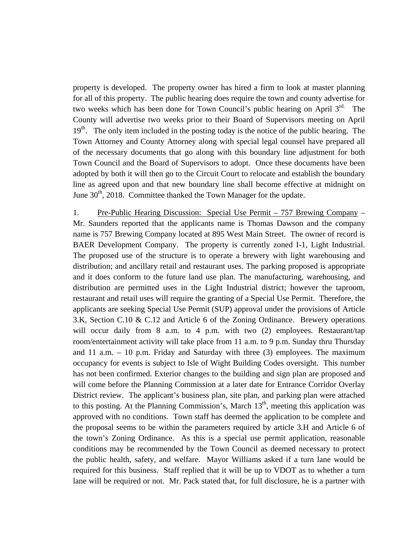property is developed. The property owner has hired a firm to look at master planning for all of this property. The public hearing does require the town and county advertise for two weeks which has been done for Town Council's public hearing on April  $3<sup>rd</sup>$ . The County will advertise two weeks prior to their Board of Supervisors meeting on April 19<sup>th</sup>. The only item included in the posting today is the notice of the public hearing. The Town Attorney and County Attorney along with special legal counsel have prepared all of the necessary documents that go along with this boundary line adjustment for both Town Council and the Board of Supervisors to adopt. Once these documents have been adopted by both it will then go to the Circuit Court to relocate and establish the boundary line as agreed upon and that new boundary line shall become effective at midnight on June  $30<sup>th</sup>$ , 2018. Committee thanked the Town Manager for the update.

1. Pre-Public Hearing Discussion: Special Use Permit – 757 Brewing Company – Mr. Saunders reported that the applicants name is Thomas Dawson and the company name is 757 Brewing Company located at 895 West Main Street. The owner of record is BAER Development Company. The property is currently zoned I-1, Light Industrial. The proposed use of the structure is to operate a brewery with light warehousing and distribution; and ancillary retail and restaurant uses. The parking proposed is appropriate and it does conform to the future land use plan. The manufacturing, warehousing, and distribution are permitted uses in the Light Industrial district; however the taproom, restaurant and retail uses will require the granting of a Special Use Permit. Therefore, the applicants are seeking Special Use Permit (SUP) approval under the provisions of Article 3.K, Section C.10 & C.12 and Article 6 of the Zoning Ordinance. Brewery operations will occur daily from 8 a.m. to 4 p.m. with two (2) employees. Restaurant/tap room/entertainment activity will take place from 11 a.m. to 9 p.m. Sunday thru Thursday and 11 a.m. – 10 p.m. Friday and Saturday with three (3) employees. The maximum occupancy for events is subject to Isle of Wight Building Codes oversight. This number has not been confirmed. Exterior changes to the building and sign plan are proposed and will come before the Planning Commission at a later date for Entrance Corridor Overlay District review. The applicant's business plan, site plan, and parking plan were attached to this posting. At the Planning Commission's, March  $13<sup>th</sup>$ , meeting this application was approved with no conditions. Town staff has deemed the application to be complete and the proposal seems to be within the parameters required by article 3.H and Article 6 of the town's Zoning Ordinance. As this is a special use permit application, reasonable conditions may be recommended by the Town Council as deemed necessary to protect the public health, safety, and welfare. Mayor Williams asked if a turn lane would be required for this business. Staff replied that it will be up to VDOT as to whether a turn lane will be required or not. Mr. Pack stated that, for full disclosure, he is a partner with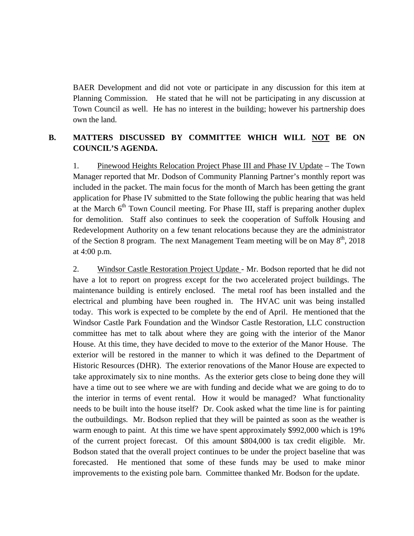BAER Development and did not vote or participate in any discussion for this item at Planning Commission. He stated that he will not be participating in any discussion at Town Council as well. He has no interest in the building; however his partnership does own the land.

#### **B. MATTERS DISCUSSED BY COMMITTEE WHICH WILL NOT BE ON COUNCIL'S AGENDA.**

1. Pinewood Heights Relocation Project Phase III and Phase IV Update – The Town Manager reported that Mr. Dodson of Community Planning Partner's monthly report was included in the packet. The main focus for the month of March has been getting the grant application for Phase IV submitted to the State following the public hearing that was held at the March  $6<sup>th</sup>$  Town Council meeting. For Phase III, staff is preparing another duplex for demolition. Staff also continues to seek the cooperation of Suffolk Housing and Redevelopment Authority on a few tenant relocations because they are the administrator of the Section 8 program. The next Management Team meeting will be on May  $8<sup>th</sup>$ , 2018 at 4:00 p.m.

2. Windsor Castle Restoration Project Update - Mr. Bodson reported that he did not have a lot to report on progress except for the two accelerated project buildings. The maintenance building is entirely enclosed. The metal roof has been installed and the electrical and plumbing have been roughed in. The HVAC unit was being installed today. This work is expected to be complete by the end of April. He mentioned that the Windsor Castle Park Foundation and the Windsor Castle Restoration, LLC construction committee has met to talk about where they are going with the interior of the Manor House. At this time, they have decided to move to the exterior of the Manor House. The exterior will be restored in the manner to which it was defined to the Department of Historic Resources (DHR). The exterior renovations of the Manor House are expected to take approximately six to nine months. As the exterior gets close to being done they will have a time out to see where we are with funding and decide what we are going to do to the interior in terms of event rental. How it would be managed? What functionality needs to be built into the house itself? Dr. Cook asked what the time line is for painting the outbuildings. Mr. Bodson replied that they will be painted as soon as the weather is warm enough to paint. At this time we have spent approximately \$992,000 which is 19% of the current project forecast. Of this amount \$804,000 is tax credit eligible. Mr. Bodson stated that the overall project continues to be under the project baseline that was forecasted. He mentioned that some of these funds may be used to make minor improvements to the existing pole barn. Committee thanked Mr. Bodson for the update.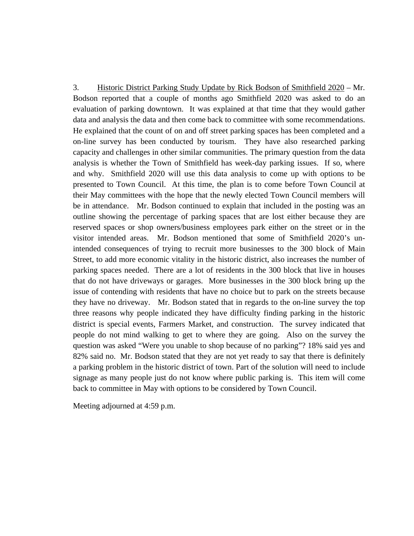3. Historic District Parking Study Update by Rick Bodson of Smithfield 2020 – Mr. Bodson reported that a couple of months ago Smithfield 2020 was asked to do an evaluation of parking downtown. It was explained at that time that they would gather data and analysis the data and then come back to committee with some recommendations. He explained that the count of on and off street parking spaces has been completed and a on-line survey has been conducted by tourism. They have also researched parking capacity and challenges in other similar communities. The primary question from the data analysis is whether the Town of Smithfield has week-day parking issues. If so, where and why. Smithfield 2020 will use this data analysis to come up with options to be presented to Town Council. At this time, the plan is to come before Town Council at their May committees with the hope that the newly elected Town Council members will be in attendance. Mr. Bodson continued to explain that included in the posting was an outline showing the percentage of parking spaces that are lost either because they are reserved spaces or shop owners/business employees park either on the street or in the visitor intended areas. Mr. Bodson mentioned that some of Smithfield 2020's unintended consequences of trying to recruit more businesses to the 300 block of Main Street, to add more economic vitality in the historic district, also increases the number of parking spaces needed. There are a lot of residents in the 300 block that live in houses that do not have driveways or garages. More businesses in the 300 block bring up the issue of contending with residents that have no choice but to park on the streets because they have no driveway. Mr. Bodson stated that in regards to the on-line survey the top three reasons why people indicated they have difficulty finding parking in the historic district is special events, Farmers Market, and construction. The survey indicated that people do not mind walking to get to where they are going. Also on the survey the question was asked "Were you unable to shop because of no parking"? 18% said yes and 82% said no. Mr. Bodson stated that they are not yet ready to say that there is definitely a parking problem in the historic district of town. Part of the solution will need to include signage as many people just do not know where public parking is. This item will come back to committee in May with options to be considered by Town Council.

Meeting adjourned at 4:59 p.m.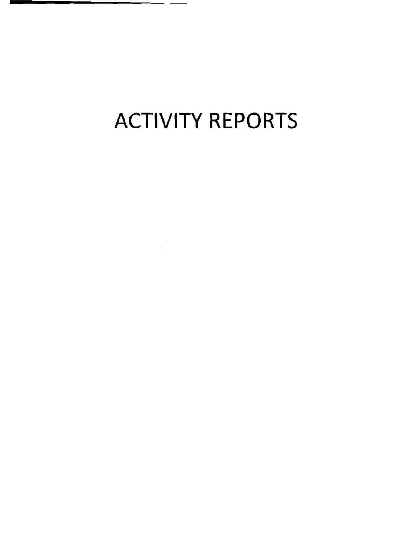## **ACTIVITY REPORTS**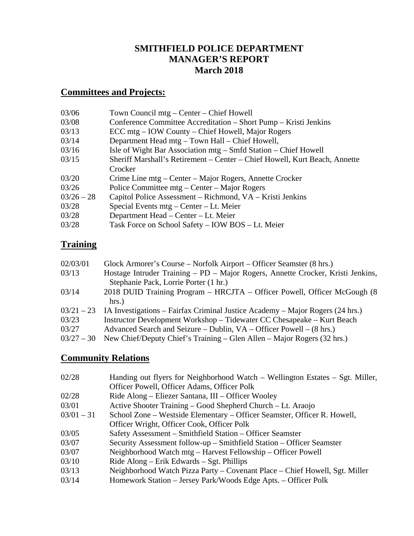## **SMITHFIELD POLICE DEPARTMENT MANAGER'S REPORT March 2018**

## **Committees and Projects:**

| 03/06        | Town Council mtg – Center – Chief Howell                                   |
|--------------|----------------------------------------------------------------------------|
| 03/08        | Conference Committee Accreditation – Short Pump – Kristi Jenkins           |
| 03/13        | ECC mtg – IOW County – Chief Howell, Major Rogers                          |
| 03/14        | Department Head mtg - Town Hall - Chief Howell,                            |
| 03/16        | Isle of Wight Bar Association mtg – Smfd Station – Chief Howell            |
| 03/15        | Sheriff Marshall's Retirement – Center – Chief Howell, Kurt Beach, Annette |
|              | Crocker                                                                    |
| 03/20        | Crime Line mtg – Center – Major Rogers, Annette Crocker                    |
| 03/26        | Police Committee mtg – Center – Major Rogers                               |
| $03/26 - 28$ | Capitol Police Assessment – Richmond, VA – Kristi Jenkins                  |
| 03/28        | Special Events $mfg - Center - Lt$ . Meier                                 |
| 03/28        | Department Head – Center – Lt. Meier                                       |
| 03/28        | Task Force on School Safety - IOW BOS - Lt. Meier                          |

## **Training**

| 02/03/01     | Glock Armorer's Course – Norfolk Airport – Officer Seamster (8 hrs.)            |
|--------------|---------------------------------------------------------------------------------|
| 03/13        | Hostage Intruder Training – PD – Major Rogers, Annette Crocker, Kristi Jenkins, |
|              | Stephanie Pack, Lorrie Porter (1 hr.)                                           |
| 03/14        | 2018 DUID Training Program – HRCJTA – Officer Powell, Officer McGough (8)       |
|              | $hrs.$ )                                                                        |
| $03/21 - 23$ | IA Investigations – Fairfax Criminal Justice Academy – Major Rogers (24 hrs.)   |
| 03/23        | Instructor Development Workshop - Tidewater CC Chesapeake - Kurt Beach          |
| 03/27        | Advanced Search and Seizure – Dublin, $VA - Officer$ Powell – (8 hrs.)          |
| $03/27 - 30$ | New Chief/Deputy Chief's Training – Glen Allen – Major Rogers (32 hrs.)         |
|              |                                                                                 |

## **Community Relations**

| Handing out flyers for Neighborhood Watch – Wellington Estates – Sgt. Miller,<br>Officer Powell, Officer Adams, Officer Polk |  |
|------------------------------------------------------------------------------------------------------------------------------|--|
| 02/28<br>Ride Along – Eliezer Santana, III – Officer Wooley                                                                  |  |
| Active Shooter Training – Good Shepherd Church – Lt. Araojo<br>03/01                                                         |  |
| $03/01 - 31$<br>School Zone – Westside Elementary – Officer Seamster, Officer R. Howell,                                     |  |
| Officer Wright, Officer Cook, Officer Polk                                                                                   |  |
| Safety Assessment – Smithfield Station – Officer Seamster<br>03/05                                                           |  |
| Security Assessment follow-up – Smithfield Station – Officer Seamster<br>03/07                                               |  |
| Neighborhood Watch mtg - Harvest Fellowship - Officer Powell<br>03/07                                                        |  |
| Ride $Along - Erik Edwards - Sgt. Phillips$<br>03/10                                                                         |  |
| Neighborhood Watch Pizza Party – Covenant Place – Chief Howell, Sgt. Miller<br>03/13                                         |  |
| 03/14<br>Homework Station – Jersey Park/Woods Edge Apts. – Officer Polk                                                      |  |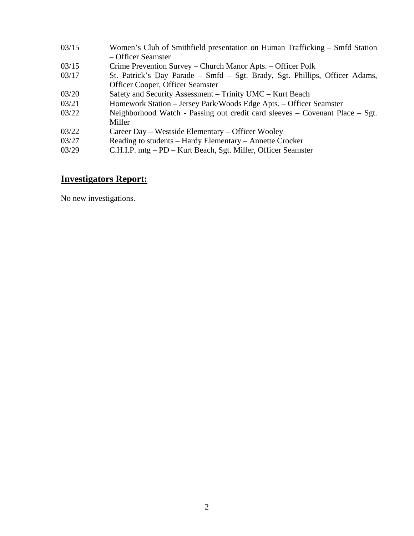| 03/15 | Women's Club of Smithfield presentation on Human Trafficking – Smfd Station  |
|-------|------------------------------------------------------------------------------|
|       | – Officer Seamster                                                           |
| 03/15 | Crime Prevention Survey – Church Manor Apts. – Officer Polk                  |
| 03/17 | St. Patrick's Day Parade – Smfd – Sgt. Brady, Sgt. Phillips, Officer Adams,  |
|       | Officer Cooper, Officer Seamster                                             |
| 03/20 | Safety and Security Assessment – Trinity UMC – Kurt Beach                    |
| 03/21 | Homework Station - Jersey Park/Woods Edge Apts. - Officer Seamster           |
| 03/22 | Neighborhood Watch - Passing out credit card sleeves – Covenant Place – Sgt. |
|       | Miller                                                                       |
| 03/22 | Career Day – Westside Elementary – Officer Wooley                            |
| 03/27 | Reading to students – Hardy Elementary – Annette Crocker                     |
| 03/29 | C.H.I.P. mtg – PD – Kurt Beach, Sgt. Miller, Officer Seamster                |

## **Investigators Report:**

No new investigations.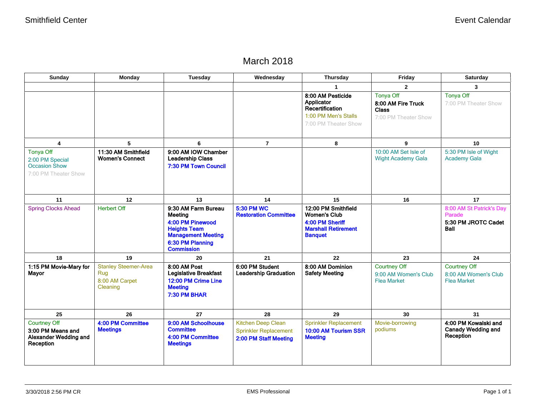## March 2018

| Sunday                                                                         | <b>Monday</b>                                                    | Tuesday                                                                                                                                         | Wednesday                                                                   | Thursday                                                                                                      | Friday                                                                         | Saturday                                                                 |  |
|--------------------------------------------------------------------------------|------------------------------------------------------------------|-------------------------------------------------------------------------------------------------------------------------------------------------|-----------------------------------------------------------------------------|---------------------------------------------------------------------------------------------------------------|--------------------------------------------------------------------------------|--------------------------------------------------------------------------|--|
|                                                                                |                                                                  |                                                                                                                                                 |                                                                             |                                                                                                               | $\overline{2}$                                                                 | $\mathbf{3}$                                                             |  |
|                                                                                |                                                                  |                                                                                                                                                 |                                                                             | 8:00 AM Pesticide<br>Applicator<br>Recertification<br>1:00 PM Men's Stalls<br>7:00 PM Theater Show            | <b>Tonya Off</b><br>8:00 AM Fire Truck<br><b>Class</b><br>7:00 PM Theater Show | <b>Tonya Off</b><br>7:00 PM Theater Show                                 |  |
| 4                                                                              | 5                                                                | 6                                                                                                                                               | $\overline{7}$                                                              | 8                                                                                                             | 9                                                                              | 10                                                                       |  |
| Tonya Off<br>2:00 PM Special<br><b>Occasion Show</b><br>7:00 PM Theater Show   | 11:30 AM Smithfield<br><b>Women's Connect</b>                    | 9:00 AM IOW Chamber<br><b>Leadership Class</b><br>7:30 PM Town Council                                                                          |                                                                             |                                                                                                               | 10:00 AM Set Isle of<br><b>Wight Academy Gala</b>                              | 5:30 PM Isle of Wight<br><b>Academy Gala</b>                             |  |
| 11                                                                             | 12                                                               | 13                                                                                                                                              | 14                                                                          | 15                                                                                                            | 16                                                                             | 17                                                                       |  |
| <b>Spring Clocks Ahead</b>                                                     | <b>Herbert Off</b>                                               | 9:30 AM Farm Bureau<br>Meeting<br>4:00 PM Pinewood<br><b>Heights Team</b><br><b>Management Meeting</b><br>6:30 PM Planning<br><b>Commission</b> | <b>5:30 PM WC</b><br><b>Restoration Committee</b>                           | 12:00 PM Smithfield<br><b>Women's Club</b><br>4:00 PM Sheriff<br><b>Marshall Retirement</b><br><b>Banquet</b> |                                                                                | 8:00 AM St Patrick's Day<br>Parade<br>5:30 PM JROTC Cadet<br><b>Ball</b> |  |
| 18                                                                             | 19                                                               | 20                                                                                                                                              | 21                                                                          | 22                                                                                                            | 23                                                                             | 24                                                                       |  |
| 1:15 PM Movie-Mary for<br><b>Mayor</b>                                         | <b>Stanley Steemer-Area</b><br>Rug<br>8:00 AM Carpet<br>Cleaning | 8:00 AM Post<br><b>Legislative Breakfast</b><br>12:00 PM Crime Line<br><b>Meeting</b><br>7:30 PM BHAR                                           | 6:00 PM Student<br><b>Leadership Graduation</b>                             | 8:00 AM Dominion<br><b>Safety Meeting</b>                                                                     | <b>Courtney Off</b><br>9:00 AM Women's Club<br><b>Flea Market</b>              | <b>Courtney Off</b><br>8:00 AM Women's Club<br><b>Flea Market</b>        |  |
| 25                                                                             | 26                                                               | 27                                                                                                                                              | 28                                                                          | 29                                                                                                            | 30                                                                             | 31                                                                       |  |
| <b>Courtney Off</b><br>3:00 PM Means and<br>Alexander Wedding and<br>Reception | 4:00 PM Committee<br><b>Meetings</b>                             | 9:00 AM Schoolhouse<br><b>Committee</b><br>4:00 PM Committee<br><b>Meetings</b>                                                                 | Kitchen Deep Clean<br><b>Sprinkler Replacement</b><br>2:00 PM Staff Meeting | <b>Sprinkler Replacement</b><br>10:00 AM Tourism SSR<br><b>Meeting</b>                                        | Movie-borrowing<br>podiums                                                     | 4:00 PM Kowalski and<br><b>Canady Wedding and</b><br>Reception           |  |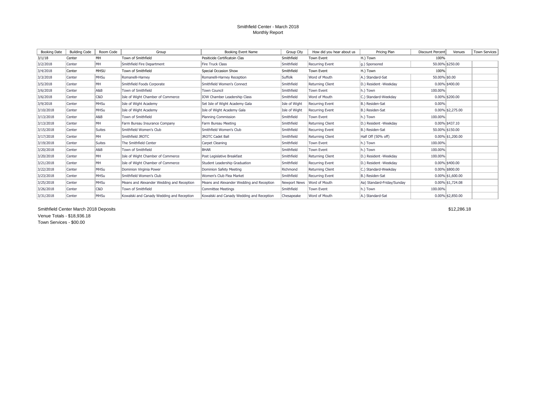#### Smithfield Center - March 2018 Monthly Report

| Booking Date | <b>Building Code</b> | Room Code     | Group                                     | Booking Event Name                        | Group City    | How did you hear about us | Pricing Plan               | <b>Discount Percent</b> | Venues              | <b>Town Services</b> |
|--------------|----------------------|---------------|-------------------------------------------|-------------------------------------------|---------------|---------------------------|----------------------------|-------------------------|---------------------|----------------------|
| 3/1/18       | Center               | MH            | Town of Smithfield                        | Pesiticide Certificatoin Clas             | Smithfield    | <b>Town Event</b>         | H.) Town                   | 100%                    |                     |                      |
| 3/2/2018     | Center               | MH            | Smithfield Fire Department                | <b>Fire Truck Class</b>                   | Smithfield    | Recurring Event           | q.) Sponsored              |                         | 50.00% \$250.00     |                      |
| 3/4/2018     | Center               | <b>MHSU</b>   | Town of Smithfield                        | Special Occasion Show                     | Smithfield    | <b>Town Event</b>         | H.) Town                   | 100%                    |                     |                      |
| 3/3/2018     | Center               | <b>MHSu</b>   | Romanelli-Harney                          | Romanelli-Harnev Reception                | Suffolk       | Word of Mouth             | A.) Standard-Sat           | 50.00% \$0.00           |                     |                      |
| 3/5/2018     | Center               | MH            | Smithfield Foods Corporate                | Smithfield Women's Connect                | Smithfield    | <b>Returning Client</b>   | D.) Resident -Weekdav      |                         | $0.00\%$ \$400.00   |                      |
| 3/6/2018     | Center               | A&B           | Town of Smithfield                        | <b>Town Council</b>                       | Smithfield    | <b>Town Event</b>         | h.) Town                   | 100.00%                 |                     |                      |
| 3/6/2018     | Center               | C&D           | Isle of Wight Chamber of Commerce         | <b>IOW Chamber Leadership Class</b>       | Smithfield    | Word of Mouth             | C.) Standard-Weekdav       |                         | $0.00\%$ \$200.00   |                      |
| 3/9/2018     | Center               | <b>MHSu</b>   | Isle of Wight Academy                     | Set Isle of Wight Academy Gala            | Isle of Wight | Recurring Event           | B.) Residen-Sat            | 0.00%                   |                     |                      |
| 3/10/2018    | Center               | MHSu          | Isle of Wight Academy                     | Isle of Wight Academy Gala                | Isle of Wight | <b>Recurring Event</b>    | B.) Residen-Sat            |                         | $0.00\%$ \$2,275.00 |                      |
| 3/13/2018    | Center               | A&B           | Town of Smithfield                        | Planning Commission                       | Smithfield    | <b>Town Event</b>         | h.) Town                   | 100.00%                 |                     |                      |
| 3/13/2018    | Center               | MH            | Farm Bureau Insurance Company             | Farm Bureau Meeting                       | Smithfield    | Returning Client          | D.) Resident -Weekdav      |                         | $0.00\%$ \$437.10   |                      |
| 3/15/2018    | Center               | <b>Suites</b> | Smithfield Women's Club                   | Smithfield Women's Club                   | Smithfield    | Recurring Event           | B.) Residen-Sat            |                         | 50.00% \$150.00     |                      |
| 3/17/2018    | Center               | MH            | Smithfield JROTC                          | <b>JROTC Cadet Ball</b>                   | Smithfield    | Returning Client          | Half Off (50% off)         |                         | $0.00\%$ \$1,200.00 |                      |
| 3/19/2018    | Center               | Suites        | The Smithfield Center                     | Carpet Cleaning                           | Smithfield    | <b>Town Event</b>         | h.) Town                   | 100.00%                 |                     |                      |
| 3/20/2018    | Center               | A&B           | Town of Smithfield                        | <b>BHAR</b>                               | Smithfield    | <b>Town Event</b>         | h.) Town                   | 100.00%                 |                     |                      |
| 3/20/2018    | Center               | MH            | Isle of Wight Chamber of Commerce         | Post Legislative Breakfast                | Smithfield    | Returning Client          | D.) Resident -Weekdav      | 100.00%                 |                     |                      |
| 3/21/2018    | Center               | MH            | Isle of Wight Chamber of Commerce         | Student Leadership Graduation             | Smithfield    | <b>Recurring Event</b>    | D.) Resident -Weekday      |                         | 0.00% \$400.00      |                      |
| 3/22/2018    | Center               | <b>MHSu</b>   | Dominion Virginia Power                   | Dominion Safety Meeting                   | Richmond      | <b>Returning Client</b>   | IC.) Standard-Weekday      |                         | $0.00\%$ \$800.00   |                      |
| 3/23/2018    | Center               | <b>MHSu</b>   | Smithfield Women's Club                   | Women's Club Flea Market                  | Smithfield    | Recurring Event           | B.) Residen-Sat            |                         | $0.00\%$ \$1,600.00 |                      |
| 3/25/2018    | Center               | <b>MHSu</b>   | Means and Alexander Wedding and Reception | Means and Alexander Wedding and Reception | Newport News  | Word of Mouth             | Aa) Standard-Friday/Sunday |                         | $0.00\%$ \$1,724.08 |                      |
| 3/26/2018    | Center               | C&D           | Town of Smithfield                        | <b>Committee Meetings</b>                 | Smithfield    | <b>Town Event</b>         | h.) Town                   | 100.00%                 |                     |                      |
| 3/31/2018    | Center               | MHSu          | Kowalski and Canady Wedding and Reception | Kowalski and Canady Wedding and Reception | Chesapeake    | Word of Mouth             | A.) Standard-Sat           |                         | $0.00\%$ \$2,850.00 |                      |

Smithfield Center March 2018 Deposits \$12,286.18 Venue Totals - \$18,936.18 Town Services - \$00.00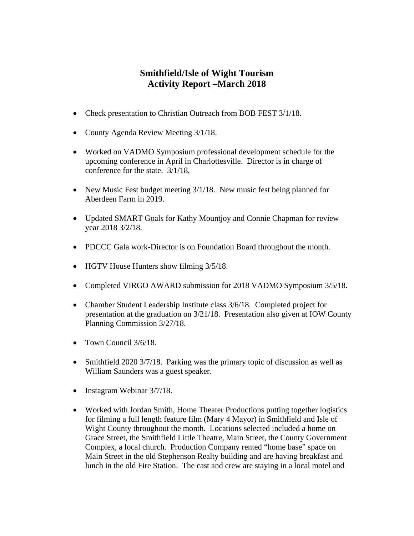## **Smithfield/Isle of Wight Tourism Activity Report –March 2018**

- Check presentation to Christian Outreach from BOB FEST 3/1/18.
- County Agenda Review Meeting  $3/1/18$ .
- Worked on VADMO Symposium professional development schedule for the upcoming conference in April in Charlottesville. Director is in charge of conference for the state. 3/1/18,
- New Music Fest budget meeting  $3/1/18$ . New music fest being planned for Aberdeen Farm in 2019.
- Updated SMART Goals for Kathy Mountjoy and Connie Chapman for review year 2018 3/2/18.
- PDCCC Gala work-Director is on Foundation Board throughout the month.
- HGTV House Hunters show filming  $3/5/18$ .
- Completed VIRGO AWARD submission for 2018 VADMO Symposium 3/5/18.
- Chamber Student Leadership Institute class  $3/6/18$ . Completed project for presentation at the graduation on 3/21/18. Presentation also given at IOW County Planning Commission 3/27/18.
- Town Council 3/6/18.
- Smithfield 2020 3/7/18. Parking was the primary topic of discussion as well as William Saunders was a guest speaker.
- Instagram Webinar 3/7/18.
- Worked with Jordan Smith, Home Theater Productions putting together logistics for filming a full length feature film (Mary 4 Mayor) in Smithfield and Isle of Wight County throughout the month. Locations selected included a home on Grace Street, the Smithfield Little Theatre, Main Street, the County Government Complex, a local church. Production Company rented "home base" space on Main Street in the old Stephenson Realty building and are having breakfast and lunch in the old Fire Station. The cast and crew are staying in a local motel and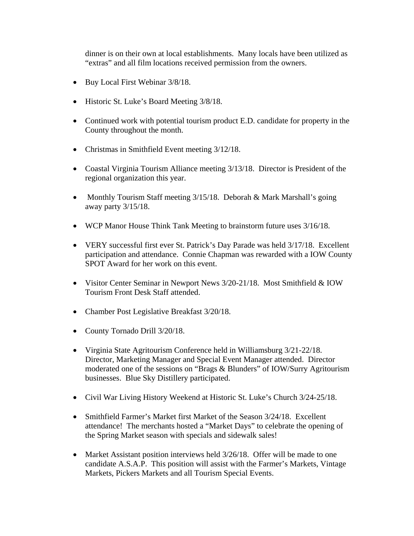dinner is on their own at local establishments. Many locals have been utilized as "extras" and all film locations received permission from the owners.

- Buy Local First Webinar  $3/8/18$ .
- Historic St. Luke's Board Meeting  $3/8/18$ .
- Continued work with potential tourism product E.D. candidate for property in the County throughout the month.
- Christmas in Smithfield Event meeting  $3/12/18$ .
- Coastal Virginia Tourism Alliance meeting  $3/13/18$ . Director is President of the regional organization this year.
- Monthly Tourism Staff meeting 3/15/18. Deborah & Mark Marshall's going away party 3/15/18.
- WCP Manor House Think Tank Meeting to brainstorm future uses 3/16/18.
- VERY successful first ever St. Patrick's Day Parade was held 3/17/18. Excellent participation and attendance. Connie Chapman was rewarded with a IOW County SPOT Award for her work on this event.
- Visitor Center Seminar in Newport News 3/20-21/18. Most Smithfield & IOW Tourism Front Desk Staff attended.
- Chamber Post Legislative Breakfast 3/20/18.
- County Tornado Drill 3/20/18.
- Virginia State Agritourism Conference held in Williamsburg 3/21-22/18. Director, Marketing Manager and Special Event Manager attended. Director moderated one of the sessions on "Brags & Blunders" of IOW/Surry Agritourism businesses. Blue Sky Distillery participated.
- Civil War Living History Weekend at Historic St. Luke's Church 3/24-25/18.
- Smithfield Farmer's Market first Market of the Season 3/24/18. Excellent attendance! The merchants hosted a "Market Days" to celebrate the opening of the Spring Market season with specials and sidewalk sales!
- Market Assistant position interviews held  $3/26/18$ . Offer will be made to one candidate A.S.A.P. This position will assist with the Farmer's Markets, Vintage Markets, Pickers Markets and all Tourism Special Events.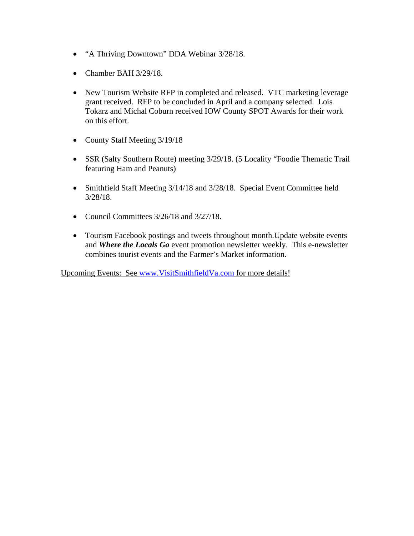- "A Thriving Downtown" DDA Webinar 3/28/18.
- Chamber BAH 3/29/18.
- New Tourism Website RFP in completed and released. VTC marketing leverage grant received. RFP to be concluded in April and a company selected. Lois Tokarz and Michal Coburn received IOW County SPOT Awards for their work on this effort.
- County Staff Meeting 3/19/18
- SSR (Salty Southern Route) meeting 3/29/18. (5 Locality "Foodie Thematic Trail featuring Ham and Peanuts)
- Smithfield Staff Meeting 3/14/18 and 3/28/18. Special Event Committee held 3/28/18.
- Council Committees  $3/26/18$  and  $3/27/18$ .
- Tourism Facebook postings and tweets throughout month. Update website events and *Where the Locals Go* event promotion newsletter weekly. This e-newsletter combines tourist events and the Farmer's Market information.

Upcoming Events: See www.VisitSmithfieldVa.com for more details!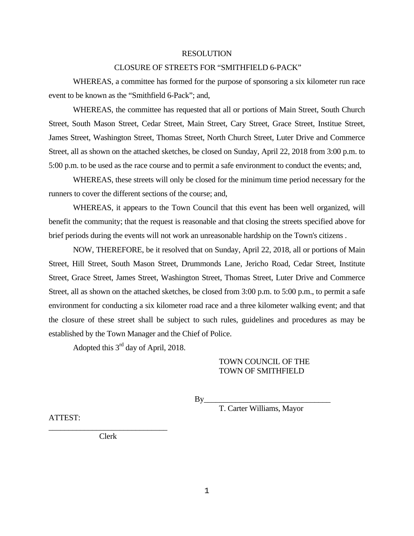#### RESOLUTION

#### CLOSURE OF STREETS FOR "SMITHFIELD 6-PACK"

 WHEREAS, a committee has formed for the purpose of sponsoring a six kilometer run race event to be known as the "Smithfield 6-Pack"; and,

 WHEREAS, the committee has requested that all or portions of Main Street, South Church Street, South Mason Street, Cedar Street, Main Street, Cary Street, Grace Street, Institue Street, James Street, Washington Street, Thomas Street, North Church Street, Luter Drive and Commerce Street, all as shown on the attached sketches, be closed on Sunday, April 22, 2018 from 3:00 p.m. to 5:00 p.m. to be used as the race course and to permit a safe environment to conduct the events; and,

 WHEREAS, these streets will only be closed for the minimum time period necessary for the runners to cover the different sections of the course; and,

 WHEREAS, it appears to the Town Council that this event has been well organized, will benefit the community; that the request is reasonable and that closing the streets specified above for brief periods during the events will not work an unreasonable hardship on the Town's citizens .

 NOW, THEREFORE, be it resolved that on Sunday, April 22, 2018, all or portions of Main Street, Hill Street, South Mason Street, Drummonds Lane, Jericho Road, Cedar Street, Institute Street, Grace Street, James Street, Washington Street, Thomas Street, Luter Drive and Commerce Street, all as shown on the attached sketches, be closed from 3:00 p.m. to 5:00 p.m., to permit a safe environment for conducting a six kilometer road race and a three kilometer walking event; and that the closure of these street shall be subject to such rules, guidelines and procedures as may be established by the Town Manager and the Chief of Police.

Adopted this 3rd day of April, 2018.

#### TOWN COUNCIL OF THE TOWN OF SMITHFIELD

By\_\_\_\_\_\_\_\_\_\_\_\_\_\_\_\_\_\_\_\_\_\_\_\_\_\_\_\_\_\_\_\_

T. Carter Williams, Mayor

ATTEST:

\_\_\_\_\_\_\_\_\_\_\_\_\_\_\_\_\_\_\_\_\_\_\_\_\_\_\_\_\_\_ Clerk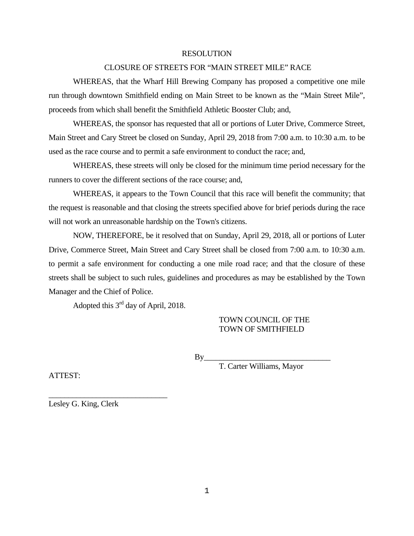#### RESOLUTION

#### CLOSURE OF STREETS FOR "MAIN STREET MILE" RACE

 WHEREAS, that the Wharf Hill Brewing Company has proposed a competitive one mile run through downtown Smithfield ending on Main Street to be known as the "Main Street Mile", proceeds from which shall benefit the Smithfield Athletic Booster Club; and,

 WHEREAS, the sponsor has requested that all or portions of Luter Drive, Commerce Street, Main Street and Cary Street be closed on Sunday, April 29, 2018 from 7:00 a.m. to 10:30 a.m. to be used as the race course and to permit a safe environment to conduct the race; and,

 WHEREAS, these streets will only be closed for the minimum time period necessary for the runners to cover the different sections of the race course; and,

 WHEREAS, it appears to the Town Council that this race will benefit the community; that the request is reasonable and that closing the streets specified above for brief periods during the race will not work an unreasonable hardship on the Town's citizens.

 NOW, THEREFORE, be it resolved that on Sunday, April 29, 2018, all or portions of Luter Drive, Commerce Street, Main Street and Cary Street shall be closed from 7:00 a.m. to 10:30 a.m. to permit a safe environment for conducting a one mile road race; and that the closure of these streets shall be subject to such rules, guidelines and procedures as may be established by the Town Manager and the Chief of Police.

Adopted this 3rd day of April, 2018.

#### TOWN COUNCIL OF THE TOWN OF SMITHFIELD

By\_\_\_\_\_\_\_\_\_\_\_\_\_\_\_\_\_\_\_\_\_\_\_\_\_\_\_\_\_\_\_\_

T. Carter Williams, Mayor

ATTEST:

Lesley G. King, Clerk

\_\_\_\_\_\_\_\_\_\_\_\_\_\_\_\_\_\_\_\_\_\_\_\_\_\_\_\_\_\_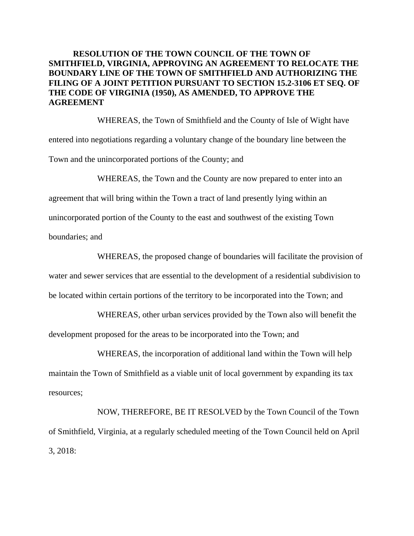#### **RESOLUTION OF THE TOWN COUNCIL OF THE TOWN OF SMITHFIELD, VIRGINIA, APPROVING AN AGREEMENT TO RELOCATE THE BOUNDARY LINE OF THE TOWN OF SMITHFIELD AND AUTHORIZING THE FILING OF A JOINT PETITION PURSUANT TO SECTION 15.2-3106 ET SEQ. OF THE CODE OF VIRGINIA (1950), AS AMENDED, TO APPROVE THE AGREEMENT**

WHEREAS, the Town of Smithfield and the County of Isle of Wight have entered into negotiations regarding a voluntary change of the boundary line between the Town and the unincorporated portions of the County; and

WHEREAS, the Town and the County are now prepared to enter into an agreement that will bring within the Town a tract of land presently lying within an unincorporated portion of the County to the east and southwest of the existing Town boundaries; and

WHEREAS, the proposed change of boundaries will facilitate the provision of water and sewer services that are essential to the development of a residential subdivision to be located within certain portions of the territory to be incorporated into the Town; and

WHEREAS, other urban services provided by the Town also will benefit the development proposed for the areas to be incorporated into the Town; and

WHEREAS, the incorporation of additional land within the Town will help maintain the Town of Smithfield as a viable unit of local government by expanding its tax resources;

NOW, THEREFORE, BE IT RESOLVED by the Town Council of the Town of Smithfield, Virginia, at a regularly scheduled meeting of the Town Council held on April 3, 2018: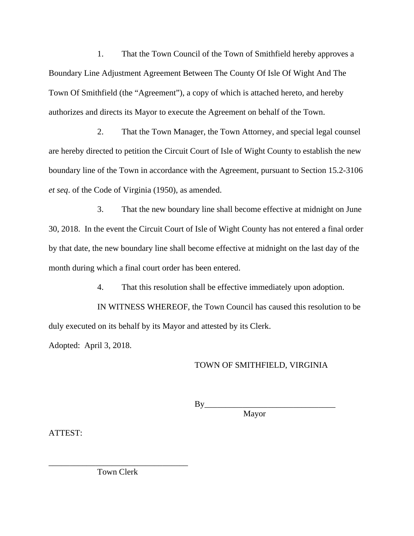1. That the Town Council of the Town of Smithfield hereby approves a Boundary Line Adjustment Agreement Between The County Of Isle Of Wight And The Town Of Smithfield (the "Agreement"), a copy of which is attached hereto, and hereby authorizes and directs its Mayor to execute the Agreement on behalf of the Town.

2. That the Town Manager, the Town Attorney, and special legal counsel are hereby directed to petition the Circuit Court of Isle of Wight County to establish the new boundary line of the Town in accordance with the Agreement, pursuant to Section 15.2-3106 *et seq*. of the Code of Virginia (1950), as amended.

3. That the new boundary line shall become effective at midnight on June 30, 2018. In the event the Circuit Court of Isle of Wight County has not entered a final order by that date, the new boundary line shall become effective at midnight on the last day of the month during which a final court order has been entered.

4. That this resolution shall be effective immediately upon adoption.

IN WITNESS WHEREOF, the Town Council has caused this resolution to be duly executed on its behalf by its Mayor and attested by its Clerk.

Adopted: April 3, 2018.

#### TOWN OF SMITHFIELD, VIRGINIA

By\_\_\_\_\_\_\_\_\_\_\_\_\_\_\_\_\_\_\_\_\_\_\_\_\_\_\_\_\_\_\_ **Mayor** 

ATTEST:

\_\_\_\_\_\_\_\_\_\_\_\_\_\_\_\_\_\_\_\_\_\_\_\_\_\_\_\_\_\_\_\_\_ Town Clerk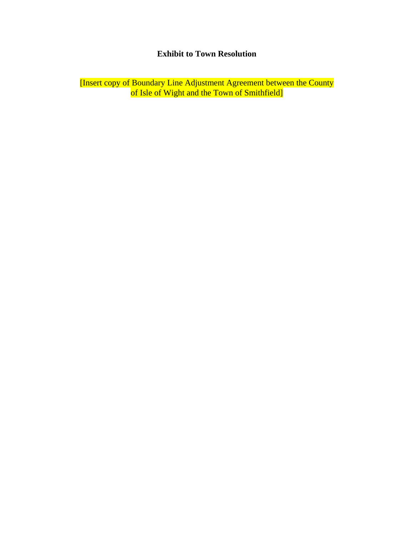## **Exhibit to Town Resolution**

[Insert copy of Boundary Line Adjustment Agreement between the County of Isle of Wight and the Town of Smithfield]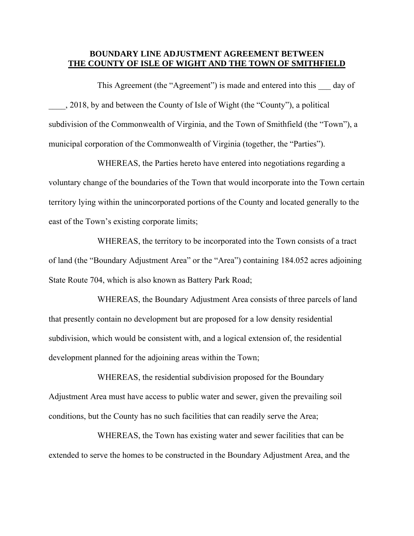#### **BOUNDARY LINE ADJUSTMENT AGREEMENT BETWEEN THE COUNTY OF ISLE OF WIGHT AND THE TOWN OF SMITHFIELD**

This Agreement (the "Agreement") is made and entered into this day of \_\_\_\_, 2018, by and between the County of Isle of Wight (the "County"), a political subdivision of the Commonwealth of Virginia, and the Town of Smithfield (the "Town"), a municipal corporation of the Commonwealth of Virginia (together, the "Parties").

WHEREAS, the Parties hereto have entered into negotiations regarding a voluntary change of the boundaries of the Town that would incorporate into the Town certain territory lying within the unincorporated portions of the County and located generally to the east of the Town's existing corporate limits;

WHEREAS, the territory to be incorporated into the Town consists of a tract of land (the "Boundary Adjustment Area" or the "Area") containing 184.052 acres adjoining State Route 704, which is also known as Battery Park Road;

WHEREAS, the Boundary Adjustment Area consists of three parcels of land that presently contain no development but are proposed for a low density residential subdivision, which would be consistent with, and a logical extension of, the residential development planned for the adjoining areas within the Town;

WHEREAS, the residential subdivision proposed for the Boundary Adjustment Area must have access to public water and sewer, given the prevailing soil conditions, but the County has no such facilities that can readily serve the Area;

WHEREAS, the Town has existing water and sewer facilities that can be extended to serve the homes to be constructed in the Boundary Adjustment Area, and the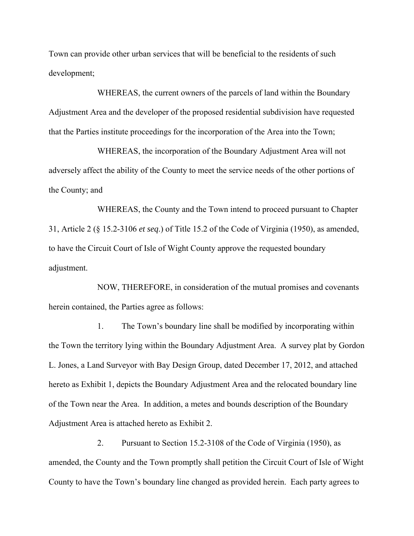Town can provide other urban services that will be beneficial to the residents of such development;

WHEREAS, the current owners of the parcels of land within the Boundary Adjustment Area and the developer of the proposed residential subdivision have requested that the Parties institute proceedings for the incorporation of the Area into the Town;

WHEREAS, the incorporation of the Boundary Adjustment Area will not adversely affect the ability of the County to meet the service needs of the other portions of the County; and

WHEREAS, the County and the Town intend to proceed pursuant to Chapter 31, Article 2 (§ 15.2-3106 *et seq*.) of Title 15.2 of the Code of Virginia (1950), as amended, to have the Circuit Court of Isle of Wight County approve the requested boundary adjustment.

NOW, THEREFORE, in consideration of the mutual promises and covenants herein contained, the Parties agree as follows:

1. The Town's boundary line shall be modified by incorporating within the Town the territory lying within the Boundary Adjustment Area. A survey plat by Gordon L. Jones, a Land Surveyor with Bay Design Group, dated December 17, 2012, and attached hereto as Exhibit 1, depicts the Boundary Adjustment Area and the relocated boundary line of the Town near the Area. In addition, a metes and bounds description of the Boundary Adjustment Area is attached hereto as Exhibit 2.

2. Pursuant to Section 15.2-3108 of the Code of Virginia (1950), as amended, the County and the Town promptly shall petition the Circuit Court of Isle of Wight County to have the Town's boundary line changed as provided herein. Each party agrees to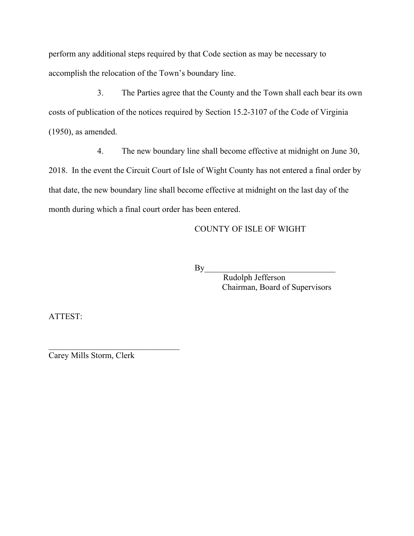perform any additional steps required by that Code section as may be necessary to accomplish the relocation of the Town's boundary line.

3. The Parties agree that the County and the Town shall each bear its own costs of publication of the notices required by Section 15.2-3107 of the Code of Virginia (1950), as amended.

4. The new boundary line shall become effective at midnight on June 30, 2018. In the event the Circuit Court of Isle of Wight County has not entered a final order by that date, the new boundary line shall become effective at midnight on the last day of the month during which a final court order has been entered.

COUNTY OF ISLE OF WIGHT

By\_\_\_\_\_\_\_\_\_\_\_\_\_\_\_\_\_\_\_\_\_\_\_\_\_\_\_\_\_\_\_

 Rudolph Jefferson Chairman, Board of Supervisors

ATTEST:

\_\_\_\_\_\_\_\_\_\_\_\_\_\_\_\_\_\_\_\_\_\_\_\_\_\_\_\_\_\_\_ Carey Mills Storm, Clerk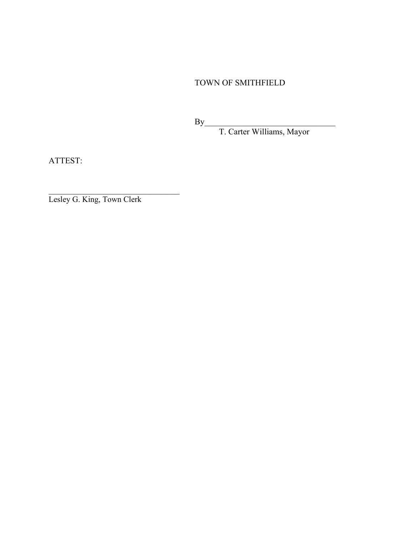TOWN OF SMITHFIELD

 $\mathbf{By}$ 

T. Carter Williams, Mayor

ATTEST:

Lesley G. King, Town Clerk